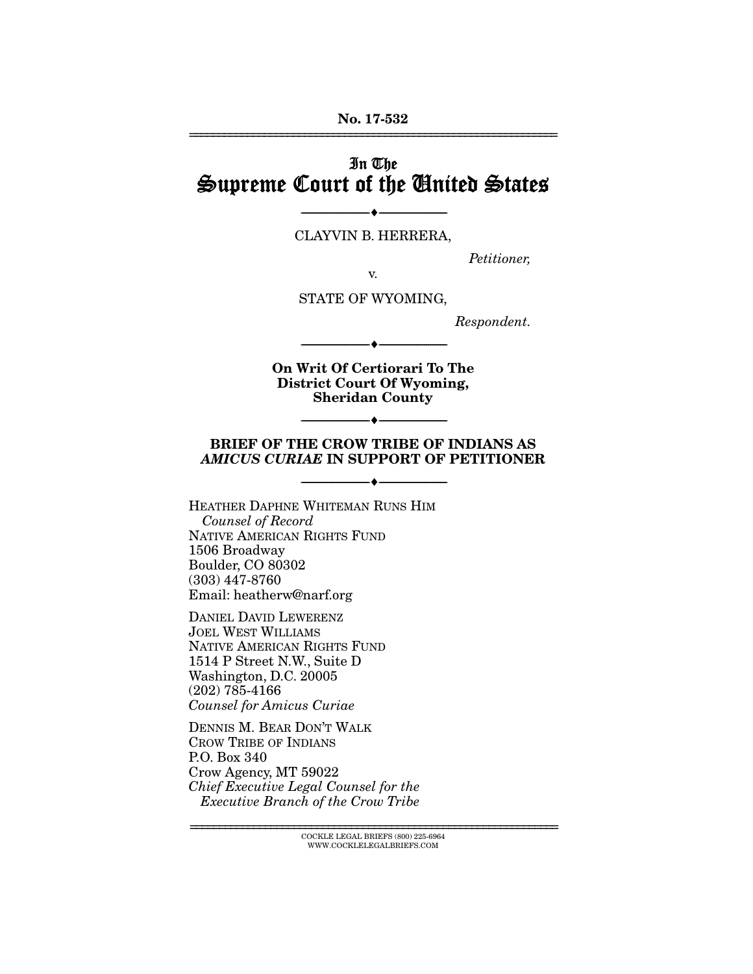No. 17-532 ================================================================

# In The Supreme Court of the United States

CLAYVIN B. HERRERA,

--------------------------------- ---------------------------------

*Petitioner,* 

v.

STATE OF WYOMING,

*Respondent.* 

On Writ Of Certiorari To The District Court Of Wyoming, Sheridan County

--------------------------------- ---------------------------------

#### BRIEF OF THE CROW TRIBE OF INDIANS AS *AMICUS CURIAE* IN SUPPORT OF PETITIONER

--------------------------------- ---------------------------------

--------------------------------- ---------------------------------

HEATHER DAPHNE WHITEMAN RUNS HIM *Counsel of Record*  NATIVE AMERICAN RIGHTS FUND 1506 Broadway Boulder, CO 80302 (303) 447-8760 Email: heatherw@narf.org

DANIEL DAVID LEWERENZ JOEL WEST WILLIAMS NATIVE AMERICAN RIGHTS FUND 1514 P Street N.W., Suite D Washington, D.C. 20005 (202) 785-4166 *Counsel for Amicus Curiae*

DENNIS M. BEAR DON'T WALK CROW TRIBE OF INDIANS P.O. Box 340 Crow Agency, MT 59022 *Chief Executive Legal Counsel for the Executive Branch of the Crow Tribe*

> ================================================================ COCKLE LEGAL BRIEFS (800) 225-6964 WWW.COCKLELEGALBRIEFS.COM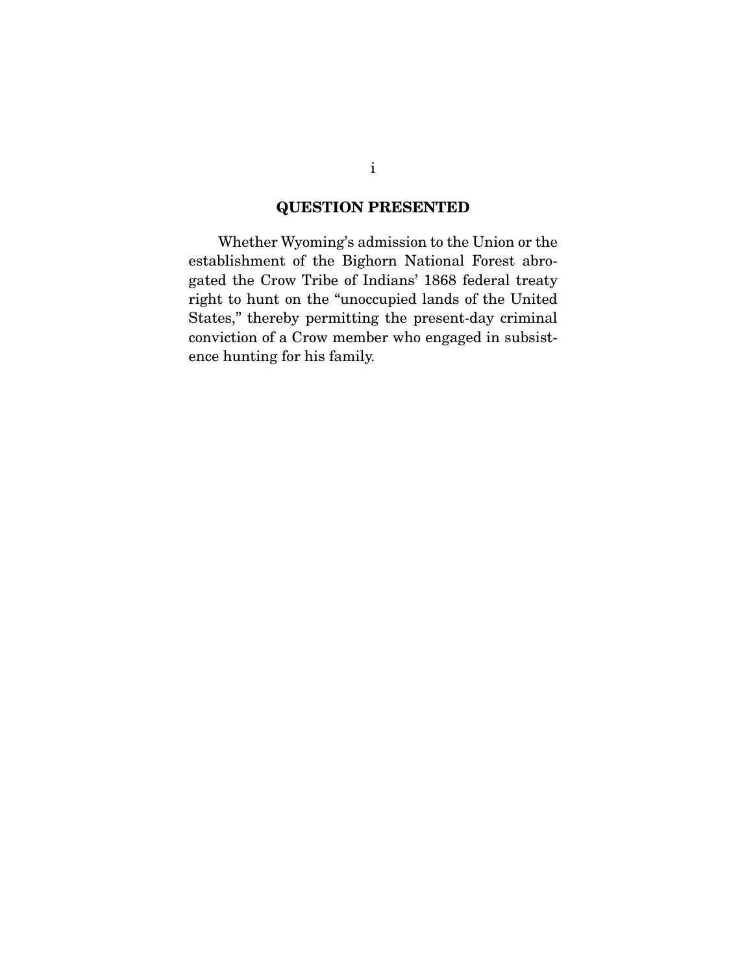## QUESTION PRESENTED

 Whether Wyoming's admission to the Union or the establishment of the Bighorn National Forest abrogated the Crow Tribe of Indians' 1868 federal treaty right to hunt on the "unoccupied lands of the United States," thereby permitting the present-day criminal conviction of a Crow member who engaged in subsistence hunting for his family.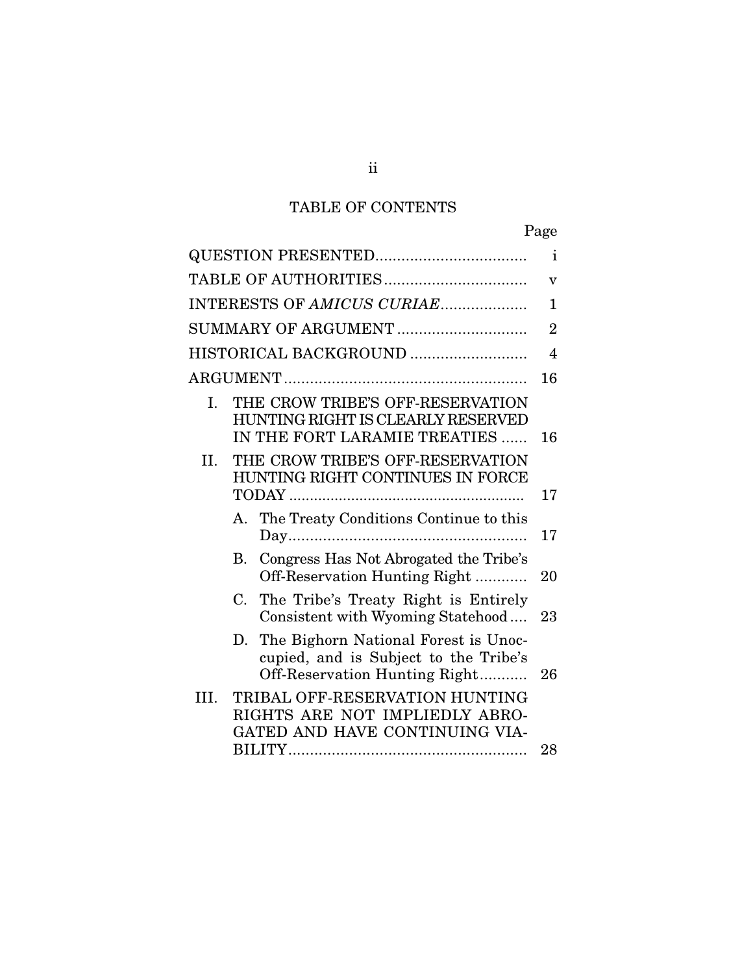# TABLE OF CONTENTS

|                                                                                                                      | Page                      |
|----------------------------------------------------------------------------------------------------------------------|---------------------------|
|                                                                                                                      | $\mathbf{i}$              |
|                                                                                                                      | $\boldsymbol{\mathrm{V}}$ |
| INTERESTS OF AMICUS CURIAE                                                                                           | 1                         |
| SUMMARY OF ARGUMENT                                                                                                  | $\overline{2}$            |
| HISTORICAL BACKGROUND                                                                                                | $\overline{4}$            |
|                                                                                                                      | 16                        |
| THE CROW TRIBE'S OFF-RESERVATION<br>I.<br>HUNTING RIGHT IS CLEARLY RESERVED<br>IN THE FORT LARAMIE TREATIES          | 16                        |
| THE CROW TRIBE'S OFF-RESERVATION<br>II.<br>HUNTING RIGHT CONTINUES IN FORCE                                          | 17                        |
| The Treaty Conditions Continue to this<br>Α.                                                                         | 17                        |
| Congress Has Not Abrogated the Tribe's<br>В.<br>Off-Reservation Hunting Right                                        | 20                        |
| The Tribe's Treaty Right is Entirely<br>$C_{\cdot}$<br>Consistent with Wyoming Statehood                             | 23                        |
| The Bighorn National Forest is Unoc-<br>D.<br>cupied, and is Subject to the Tribe's<br>Off-Reservation Hunting Right | 26                        |
| TRIBAL OFF-RESERVATION HUNTING<br>III.<br>RIGHTS ARE NOT IMPLIEDLY ABRO-<br>GATED AND HAVE CONTINUING VIA-           |                           |
|                                                                                                                      | 28                        |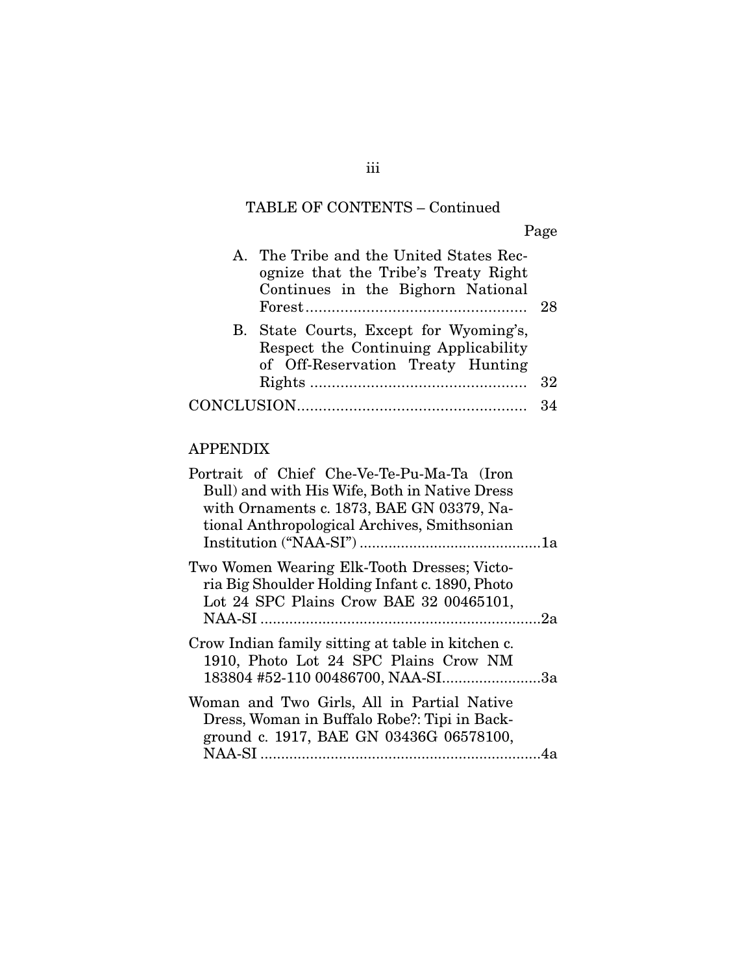# TABLE OF CONTENTS – Continued

Page

| A. The Tribe and the United States Rec-<br>ognize that the Tribe's Treaty Right<br>Continues in the Bighorn National | 28 |
|----------------------------------------------------------------------------------------------------------------------|----|
| B. State Courts, Except for Wyoming's,<br>Respect the Continuing Applicability<br>of Off-Reservation Treaty Hunting  |    |
|                                                                                                                      | 32 |
|                                                                                                                      | 34 |

## APPENDIX

| Portrait of Chief Che-Ve-Te-Pu-Ma-Ta (Iron<br>Bull) and with His Wife, Both in Native Dress<br>with Ornaments c. 1873, BAE GN 03379, Na-<br>tional Anthropological Archives, Smithsonian |  |
|------------------------------------------------------------------------------------------------------------------------------------------------------------------------------------------|--|
| Two Women Wearing Elk-Tooth Dresses; Victo-<br>ria Big Shoulder Holding Infant c. 1890, Photo<br>Lot 24 SPC Plains Crow BAE 32 00465101,                                                 |  |
| Crow Indian family sitting at table in kitchen c.<br>1910, Photo Lot 24 SPC Plains Crow NM<br>183804 #52-110 00486700, NAA-SI3a                                                          |  |
| Woman and Two Girls, All in Partial Native<br>Dress, Woman in Buffalo Robe?: Tipi in Back-<br>ground c. 1917, BAE GN 03436G 06578100,                                                    |  |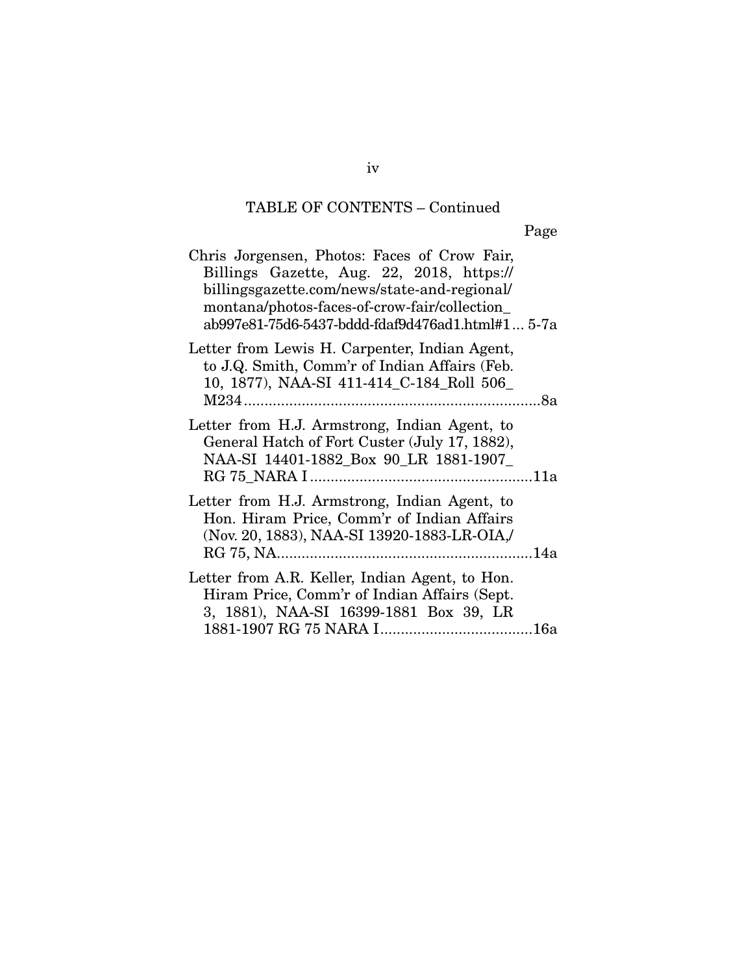# TABLE OF CONTENTS – Continued

Page

| Chris Jorgensen, Photos: Faces of Crow Fair,<br>Billings Gazette, Aug. 22, 2018, https://<br>billingsgazette.com/news/state-and-regional/<br>montana/photos-faces-of-crow-fair/collection<br>ab997e81-75d6-5437-bddd-fdaf9d476ad1.html#1 5-7a |  |
|-----------------------------------------------------------------------------------------------------------------------------------------------------------------------------------------------------------------------------------------------|--|
| Letter from Lewis H. Carpenter, Indian Agent,<br>to J.Q. Smith, Comm'r of Indian Affairs (Feb.<br>10, 1877), NAA-SI 411-414_C-184_Roll 506_                                                                                                   |  |
| Letter from H.J. Armstrong, Indian Agent, to<br>General Hatch of Fort Custer (July 17, 1882),<br>NAA-SI 14401-1882_Box 90_LR 1881-1907_                                                                                                       |  |
| Letter from H.J. Armstrong, Indian Agent, to<br>Hon. Hiram Price, Comm'r of Indian Affairs<br>(Nov. 20, 1883), NAA-SI 13920-1883-LR-OIA,/                                                                                                     |  |
| Letter from A.R. Keller, Indian Agent, to Hon.<br>Hiram Price, Comm'r of Indian Affairs (Sept.<br>3, 1881), NAA-SI 16399-1881 Box 39, LR                                                                                                      |  |

iv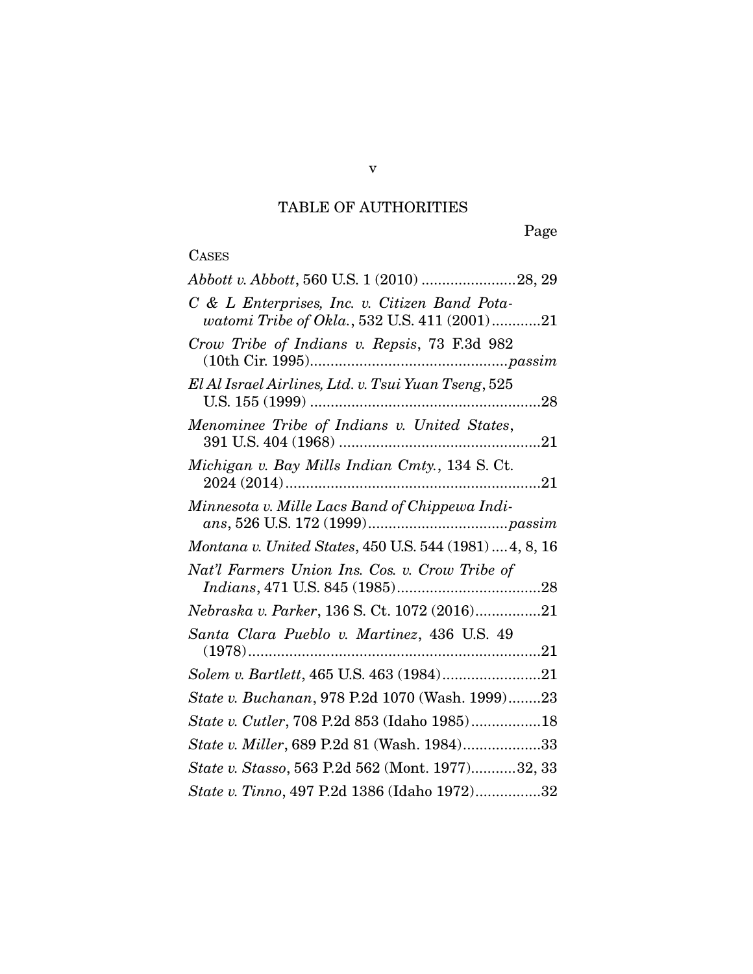# TABLE OF AUTHORITIES

Page

## CASES

| Abbott v. Abbott, 560 U.S. 1 (2010) 28, 29                                                    |
|-----------------------------------------------------------------------------------------------|
| C & L Enterprises, Inc. v. Citizen Band Pota-<br>watomi Tribe of Okla., 532 U.S. 411 (2001)21 |
| Crow Tribe of Indians v. Repsis, 73 F.3d 982                                                  |
| El Al Israel Airlines, Ltd. v. Tsui Yuan Tseng, 525                                           |
| Menominee Tribe of Indians v. United States,                                                  |
| Michigan v. Bay Mills Indian Cmty., 134 S. Ct.<br>21                                          |
| Minnesota v. Mille Lacs Band of Chippewa Indi-                                                |
| Montana v. United States, 450 U.S. 544 (1981)  4, 8, 16                                       |
| Nat'l Farmers Union Ins. Cos. v. Crow Tribe of                                                |
| ${\it Nebraska}\ v. \ Parker, 136\ S. \ Ct. \ 1072\ (2016)21$                                 |
| Santa Clara Pueblo v. Martinez, 436 U.S. 49                                                   |
|                                                                                               |
| State v. Buchanan, 978 P.2d 1070 (Wash. 1999)23                                               |
| State v. Cutler, 708 P.2d 853 (Idaho 1985)18                                                  |
| State v. Miller, 689 P.2d 81 (Wash. 1984)33                                                   |
| State v. Stasso, 563 P.2d 562 (Mont. 1977)32, 33                                              |
| State v. Tinno, 497 P.2d 1386 (Idaho 1972)32                                                  |

v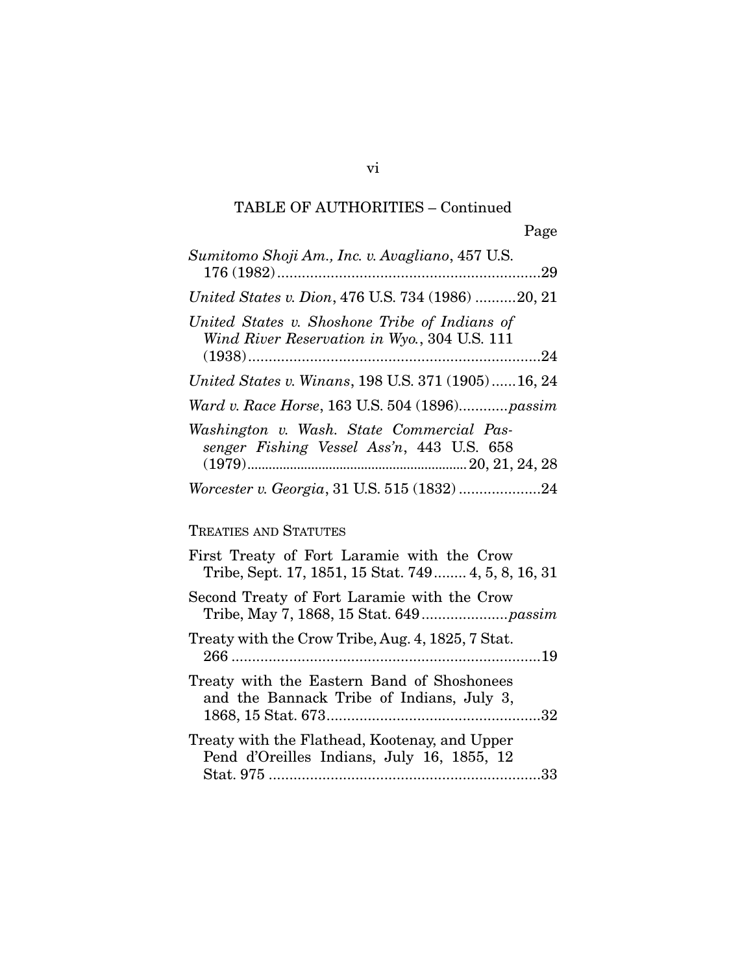| Sumitomo Shoji Am., Inc. v. Avagliano, 457 U.S.                                               |
|-----------------------------------------------------------------------------------------------|
| United States v. Dion, 476 U.S. 734 (1986) 20, 21                                             |
| United States v. Shoshone Tribe of Indians of<br>Wind River Reservation in Wyo., 304 U.S. 111 |
| United States v. Winans, 198 U.S. 371 (1905)16, 24                                            |
| Ward v. Race Horse, 163 U.S. 504 (1896)passim                                                 |
| Washington v. Wash. State Commercial Pas-<br>senger Fishing Vessel Ass'n, 443 U.S. 658        |
|                                                                                               |
| TREATIES AND STATUTES                                                                         |

| First Treaty of Fort Laramie with the Crow<br>Tribe, Sept. 17, 1851, 15 Stat. 749 4, 5, 8, 16, 31 |
|---------------------------------------------------------------------------------------------------|
| Second Treaty of Fort Laramie with the Crow                                                       |
| Treaty with the Crow Tribe, Aug. 4, 1825, 7 Stat.                                                 |
| Treaty with the Eastern Band of Shoshonees<br>and the Bannack Tribe of Indians, July 3,           |
| Treaty with the Flathead, Kootenay, and Upper<br>Pend d'Oreilles Indians, July 16, 1855, 12       |

vi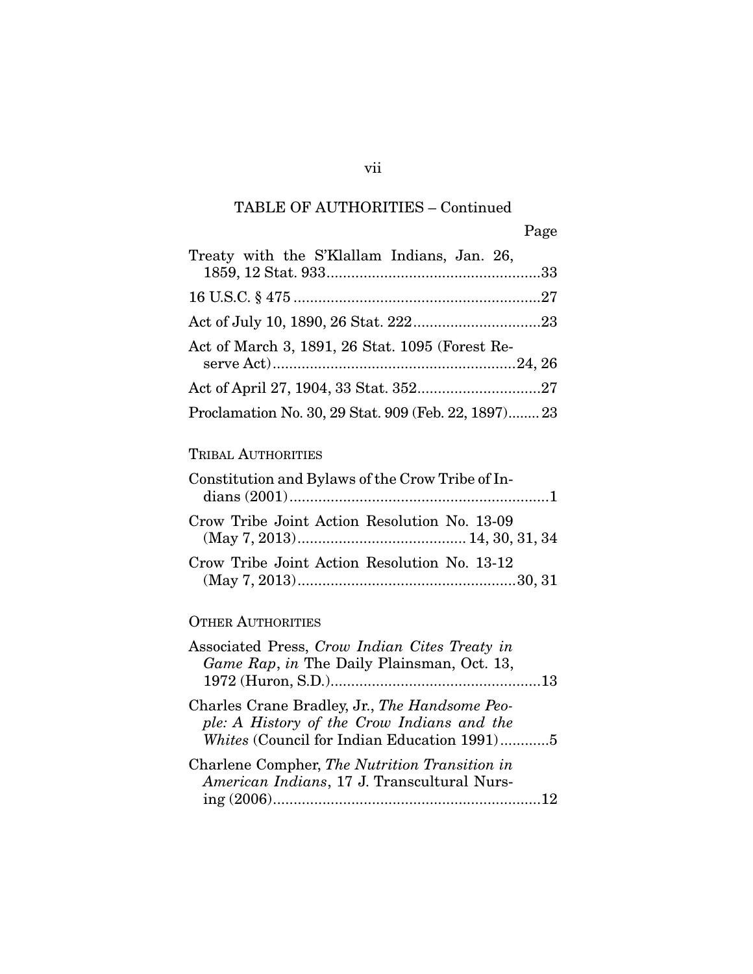| Treaty with the S'Klallam Indians, Jan. 26,          |
|------------------------------------------------------|
|                                                      |
|                                                      |
| Act of March 3, 1891, 26 Stat. 1095 (Forest Re-      |
|                                                      |
| Proclamation No. 30, 29 Stat. 909 (Feb. 22, 1897) 23 |
|                                                      |

## TRIBAL AUTHORITIES

| Constitution and Bylaws of the Crow Tribe of In- |  |
|--------------------------------------------------|--|
| Crow Tribe Joint Action Resolution No. 13-09     |  |
| Crow Tribe Joint Action Resolution No. 13-12     |  |

## OTHER AUTHORITIES

| Associated Press, Crow Indian Cites Treaty in<br>Game Rap, in The Daily Plainsman, Oct. 13,                                                |  |
|--------------------------------------------------------------------------------------------------------------------------------------------|--|
| Charles Crane Bradley, Jr., The Handsome Peo-<br>ple: A History of the Crow Indians and the<br>Whites (Council for Indian Education 1991)5 |  |
| Charlene Compher, The Nutrition Transition in<br>American Indians, 17 J. Transcultural Nurs-                                               |  |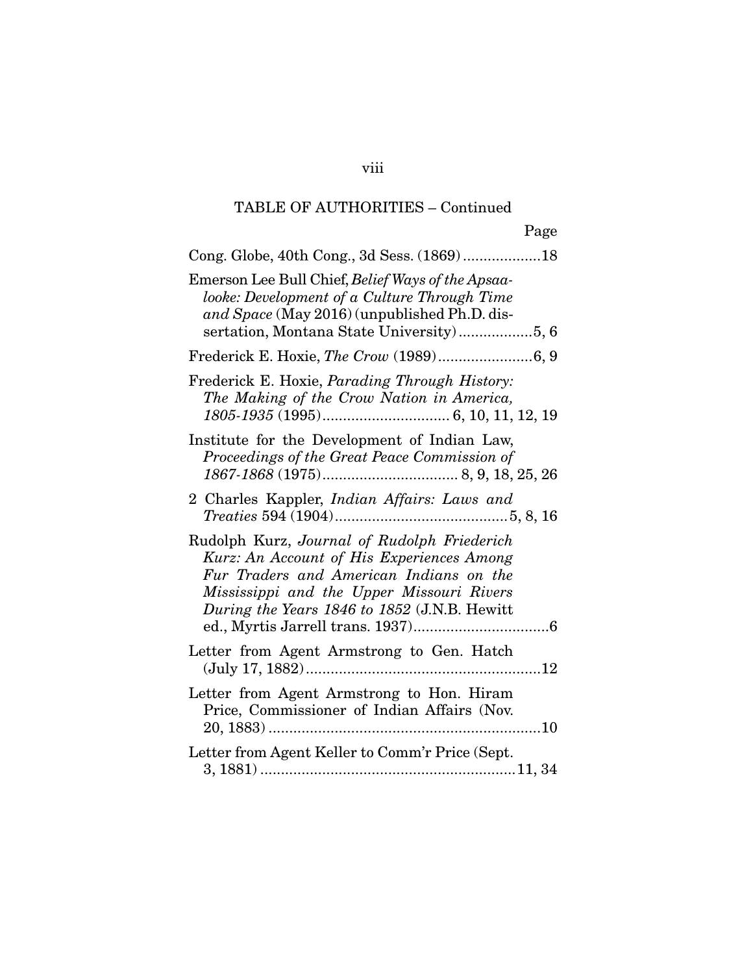| Page                                                                                                                                                                                                                             |
|----------------------------------------------------------------------------------------------------------------------------------------------------------------------------------------------------------------------------------|
| Cong. Globe, 40th Cong., 3d Sess. (1869)18                                                                                                                                                                                       |
| Emerson Lee Bull Chief, Belief Ways of the Apsaa-<br>looke: Development of a Culture Through Time<br>and Space (May 2016) (unpublished Ph.D. dis-                                                                                |
|                                                                                                                                                                                                                                  |
| Frederick E. Hoxie, <i>Parading Through History</i> :<br>The Making of the Crow Nation in America,                                                                                                                               |
| Institute for the Development of Indian Law,<br>Proceedings of the Great Peace Commission of                                                                                                                                     |
| 2 Charles Kappler, <i>Indian Affairs: Laws and</i><br>$\label{eq:3.1} \textit{Treaties~594~(1904)}.\textit{}.\textit{}.\textit{}.\textit{}.\textit{5}, 8, 16$                                                                    |
| Rudolph Kurz, Journal of Rudolph Friederich<br>Kurz: An Account of His Experiences Among<br>Fur Traders and American Indians on the<br>Mississippi and the Upper Missouri Rivers<br>During the Years 1846 to 1852 (J.N.B. Hewitt |
| Letter from Agent Armstrong to Gen. Hatch                                                                                                                                                                                        |
| Letter from Agent Armstrong to Hon. Hiram<br>Price, Commissioner of Indian Affairs (Nov.                                                                                                                                         |
| Letter from Agent Keller to Comm'r Price (Sept.                                                                                                                                                                                  |

viii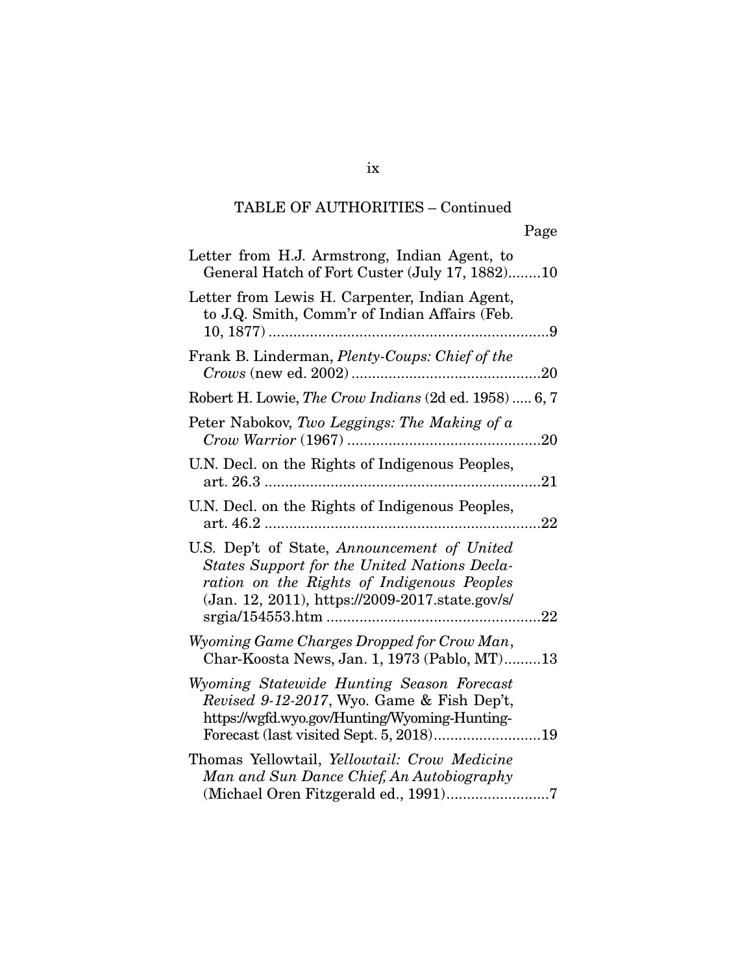ix

| Letter from H.J. Armstrong, Indian Agent, to<br>General Hatch of Fort Custer (July 17, 1882)10                                                                                               |
|----------------------------------------------------------------------------------------------------------------------------------------------------------------------------------------------|
| Letter from Lewis H. Carpenter, Indian Agent,<br>to J.Q. Smith, Comm'r of Indian Affairs (Feb.<br>. 9                                                                                        |
| Frank B. Linderman, Plenty-Coups: Chief of the<br>.20                                                                                                                                        |
| Robert H. Lowie, The Crow Indians (2d ed. 1958)  6, 7                                                                                                                                        |
| Peter Nabokov, Two Leggings: The Making of a<br>.20                                                                                                                                          |
| U.N. Decl. on the Rights of Indigenous Peoples,<br>21                                                                                                                                        |
| U.N. Decl. on the Rights of Indigenous Peoples,<br>22                                                                                                                                        |
| U.S. Dep't of State, Announcement of United<br>States Support for the United Nations Decla-<br>ration on the Rights of Indigenous Peoples<br>(Jan. 12, 2011), https://2009-2017.state.gov/s/ |
| Wyoming Game Charges Dropped for Crow Man,<br>Char-Koosta News, Jan. 1, 1973 (Pablo, MT)13                                                                                                   |
| Wyoming Statewide Hunting Season Forecast<br>Revised 9-12-2017, Wyo. Game & Fish Dep't,<br>https://wgfd.wyo.gov/Hunting/Wyoming-Hunting-                                                     |
| Thomas Yellowtail, Yellowtail: Crow Medicine<br>Man and Sun Dance Chief, An Autobiography                                                                                                    |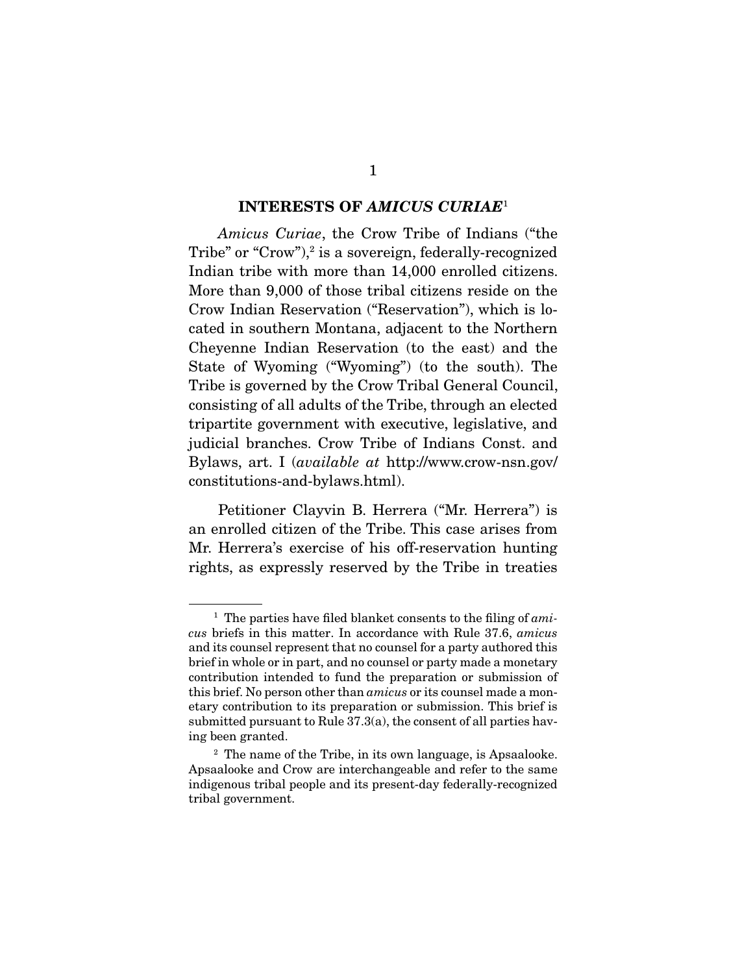#### INTERESTS OF *AMICUS CURIAE*<sup>1</sup>

*Amicus Curiae*, the Crow Tribe of Indians ("the Tribe" or "Crow"),<sup>2</sup> is a sovereign, federally-recognized Indian tribe with more than 14,000 enrolled citizens. More than 9,000 of those tribal citizens reside on the Crow Indian Reservation ("Reservation"), which is located in southern Montana, adjacent to the Northern Cheyenne Indian Reservation (to the east) and the State of Wyoming ("Wyoming") (to the south). The Tribe is governed by the Crow Tribal General Council, consisting of all adults of the Tribe, through an elected tripartite government with executive, legislative, and judicial branches. Crow Tribe of Indians Const. and Bylaws, art. I (*available at* http://www.crow-nsn.gov/ constitutions-and-bylaws.html).

 Petitioner Clayvin B. Herrera ("Mr. Herrera") is an enrolled citizen of the Tribe. This case arises from Mr. Herrera's exercise of his off-reservation hunting rights, as expressly reserved by the Tribe in treaties

<sup>1</sup> The parties have filed blanket consents to the filing of *amicus* briefs in this matter. In accordance with Rule 37.6, *amicus* and its counsel represent that no counsel for a party authored this brief in whole or in part, and no counsel or party made a monetary contribution intended to fund the preparation or submission of this brief. No person other than *amicus* or its counsel made a monetary contribution to its preparation or submission. This brief is submitted pursuant to Rule 37.3(a), the consent of all parties having been granted.

<sup>2</sup> The name of the Tribe, in its own language, is Apsaalooke. Apsaalooke and Crow are interchangeable and refer to the same indigenous tribal people and its present-day federally-recognized tribal government.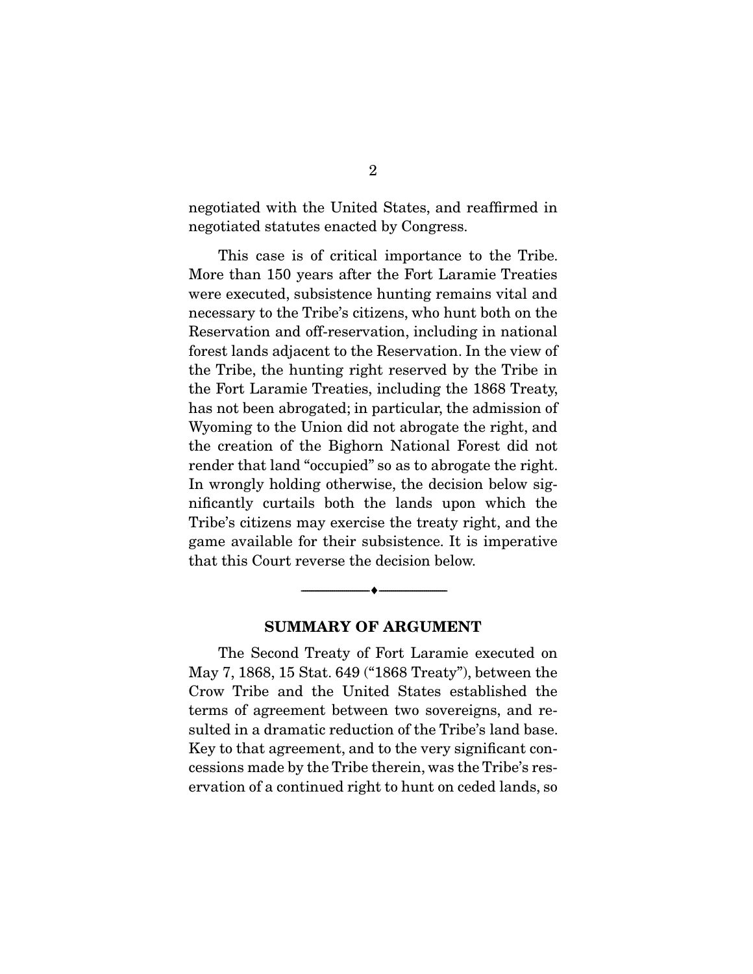negotiated with the United States, and reaffirmed in negotiated statutes enacted by Congress.

 This case is of critical importance to the Tribe. More than 150 years after the Fort Laramie Treaties were executed, subsistence hunting remains vital and necessary to the Tribe's citizens, who hunt both on the Reservation and off-reservation, including in national forest lands adjacent to the Reservation. In the view of the Tribe, the hunting right reserved by the Tribe in the Fort Laramie Treaties, including the 1868 Treaty, has not been abrogated; in particular, the admission of Wyoming to the Union did not abrogate the right, and the creation of the Bighorn National Forest did not render that land "occupied" so as to abrogate the right. In wrongly holding otherwise, the decision below significantly curtails both the lands upon which the Tribe's citizens may exercise the treaty right, and the game available for their subsistence. It is imperative that this Court reverse the decision below.

#### SUMMARY OF ARGUMENT

--------------------------------- ---------------------------------

 The Second Treaty of Fort Laramie executed on May 7, 1868, 15 Stat. 649 ("1868 Treaty"), between the Crow Tribe and the United States established the terms of agreement between two sovereigns, and resulted in a dramatic reduction of the Tribe's land base. Key to that agreement, and to the very significant concessions made by the Tribe therein, was the Tribe's reservation of a continued right to hunt on ceded lands, so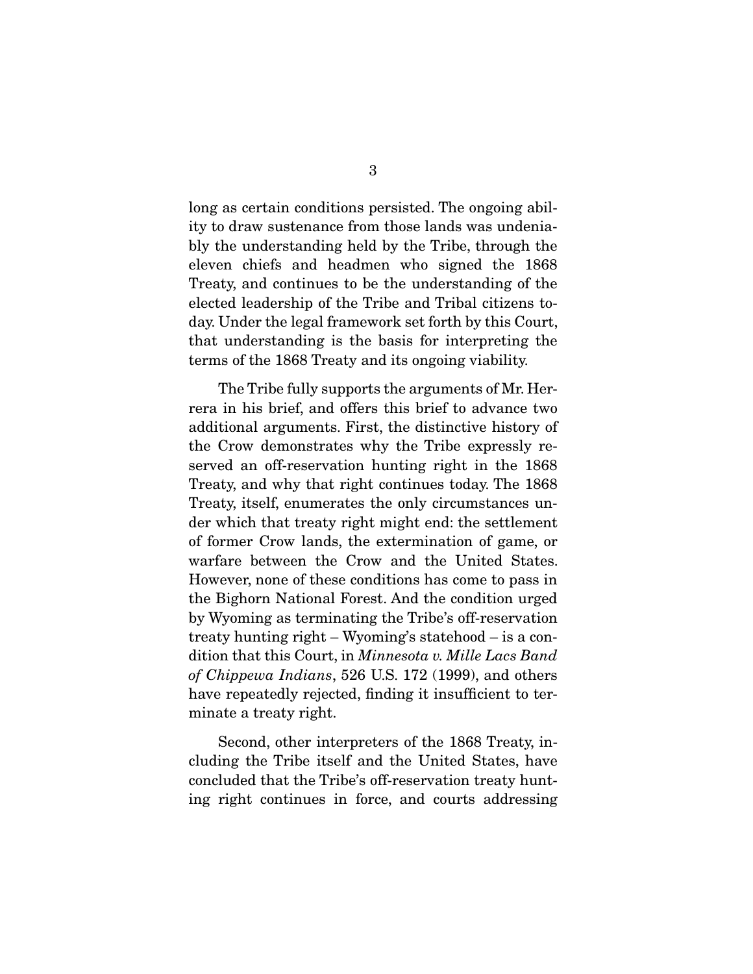long as certain conditions persisted. The ongoing ability to draw sustenance from those lands was undeniably the understanding held by the Tribe, through the eleven chiefs and headmen who signed the 1868 Treaty, and continues to be the understanding of the elected leadership of the Tribe and Tribal citizens today. Under the legal framework set forth by this Court, that understanding is the basis for interpreting the terms of the 1868 Treaty and its ongoing viability.

 The Tribe fully supports the arguments of Mr. Herrera in his brief, and offers this brief to advance two additional arguments. First, the distinctive history of the Crow demonstrates why the Tribe expressly reserved an off-reservation hunting right in the 1868 Treaty, and why that right continues today. The 1868 Treaty, itself, enumerates the only circumstances under which that treaty right might end: the settlement of former Crow lands, the extermination of game, or warfare between the Crow and the United States. However, none of these conditions has come to pass in the Bighorn National Forest. And the condition urged by Wyoming as terminating the Tribe's off-reservation treaty hunting right – Wyoming's statehood – is a condition that this Court, in *Minnesota v. Mille Lacs Band of Chippewa Indians*, 526 U.S. 172 (1999), and others have repeatedly rejected, finding it insufficient to terminate a treaty right.

 Second, other interpreters of the 1868 Treaty, including the Tribe itself and the United States, have concluded that the Tribe's off-reservation treaty hunting right continues in force, and courts addressing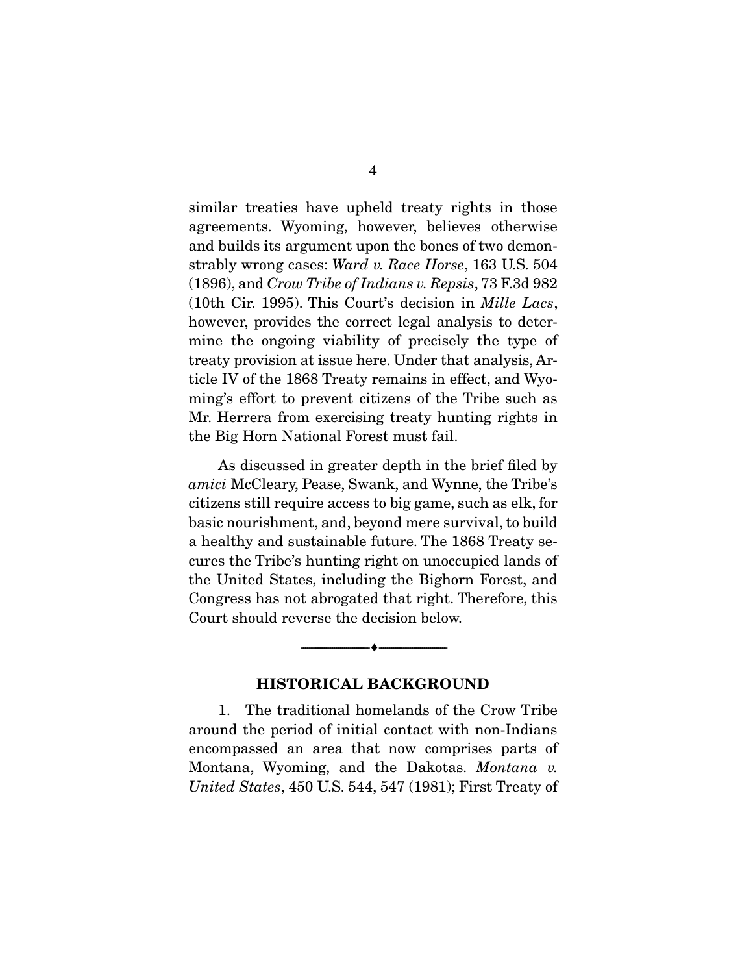similar treaties have upheld treaty rights in those agreements. Wyoming, however, believes otherwise and builds its argument upon the bones of two demonstrably wrong cases: *Ward v. Race Horse*, 163 U.S. 504 (1896), and *Crow Tribe of Indians v. Repsis*, 73 F.3d 982 (10th Cir. 1995). This Court's decision in *Mille Lacs*, however, provides the correct legal analysis to determine the ongoing viability of precisely the type of treaty provision at issue here. Under that analysis, Article IV of the 1868 Treaty remains in effect, and Wyoming's effort to prevent citizens of the Tribe such as Mr. Herrera from exercising treaty hunting rights in the Big Horn National Forest must fail.

 As discussed in greater depth in the brief filed by *amici* McCleary, Pease, Swank, and Wynne, the Tribe's citizens still require access to big game, such as elk, for basic nourishment, and, beyond mere survival, to build a healthy and sustainable future. The 1868 Treaty secures the Tribe's hunting right on unoccupied lands of the United States, including the Bighorn Forest, and Congress has not abrogated that right. Therefore, this Court should reverse the decision below.

#### HISTORICAL BACKGROUND

--------------------------------- ---------------------------------

 1. The traditional homelands of the Crow Tribe around the period of initial contact with non-Indians encompassed an area that now comprises parts of Montana, Wyoming, and the Dakotas. *Montana v. United States*, 450 U.S. 544, 547 (1981); First Treaty of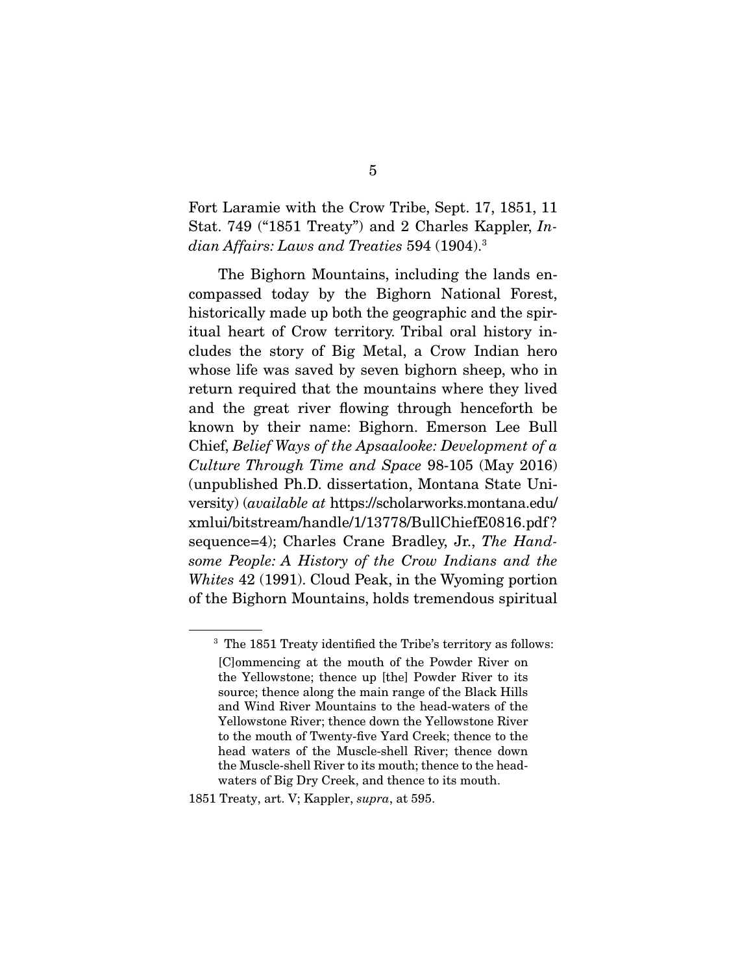Fort Laramie with the Crow Tribe, Sept. 17, 1851, 11 Stat. 749 ("1851 Treaty") and 2 Charles Kappler, *Indian Affairs: Laws and Treaties* 594 (1904).3

 The Bighorn Mountains, including the lands encompassed today by the Bighorn National Forest, historically made up both the geographic and the spiritual heart of Crow territory. Tribal oral history includes the story of Big Metal, a Crow Indian hero whose life was saved by seven bighorn sheep, who in return required that the mountains where they lived and the great river flowing through henceforth be known by their name: Bighorn. Emerson Lee Bull Chief, *Belief Ways of the Apsaalooke: Development of a Culture Through Time and Space* 98-105 (May 2016) (unpublished Ph.D. dissertation, Montana State University) (*available at* https://scholarworks.montana.edu/ xmlui/bitstream/handle/1/13778/BullChiefE0816.pdf ? sequence=4); Charles Crane Bradley, Jr., *The Handsome People: A History of the Crow Indians and the Whites* 42 (1991). Cloud Peak, in the Wyoming portion of the Bighorn Mountains, holds tremendous spiritual

<sup>&</sup>lt;sup>3</sup> The 1851 Treaty identified the Tribe's territory as follows: [C]ommencing at the mouth of the Powder River on the Yellowstone; thence up [the] Powder River to its source; thence along the main range of the Black Hills and Wind River Mountains to the head-waters of the Yellowstone River; thence down the Yellowstone River to the mouth of Twenty-five Yard Creek; thence to the head waters of the Muscle-shell River; thence down the Muscle-shell River to its mouth; thence to the headwaters of Big Dry Creek, and thence to its mouth.

<sup>1851</sup> Treaty, art. V; Kappler, *supra*, at 595.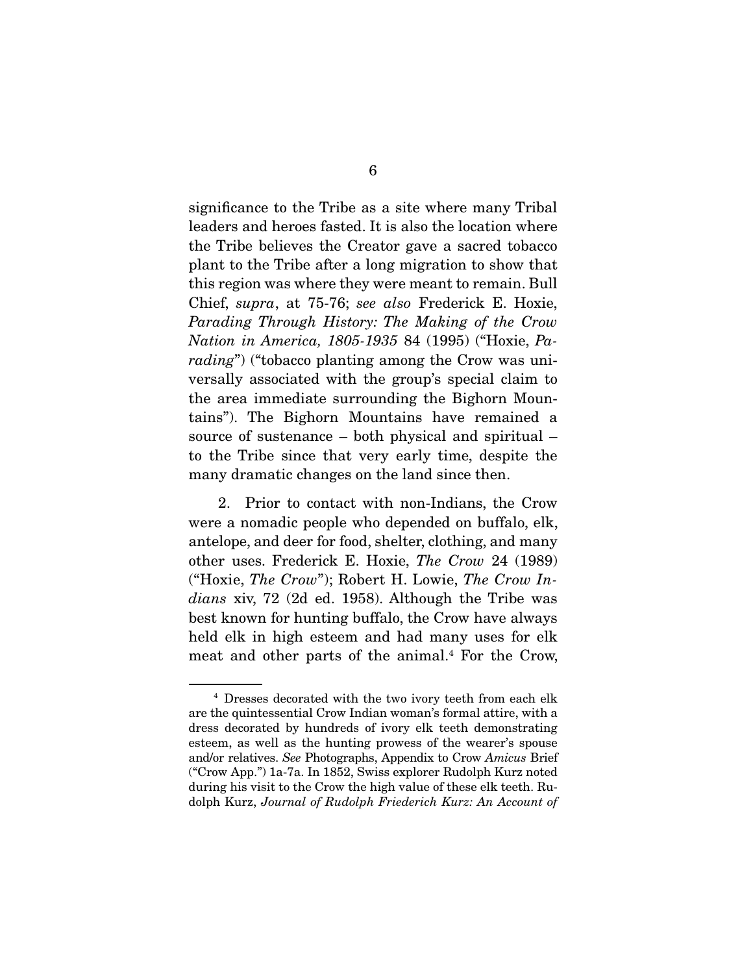significance to the Tribe as a site where many Tribal leaders and heroes fasted. It is also the location where the Tribe believes the Creator gave a sacred tobacco plant to the Tribe after a long migration to show that this region was where they were meant to remain. Bull Chief, *supra*, at 75-76; *see also* Frederick E. Hoxie, *Parading Through History: The Making of the Crow Nation in America, 1805-1935* 84 (1995) ("Hoxie, *Parading*") ("tobacco planting among the Crow was universally associated with the group's special claim to the area immediate surrounding the Bighorn Mountains"). The Bighorn Mountains have remained a source of sustenance – both physical and spiritual – to the Tribe since that very early time, despite the many dramatic changes on the land since then.

 2. Prior to contact with non-Indians, the Crow were a nomadic people who depended on buffalo, elk, antelope, and deer for food, shelter, clothing, and many other uses. Frederick E. Hoxie, *The Crow* 24 (1989) ("Hoxie, *The Crow*"); Robert H. Lowie, *The Crow Indians* xiv, 72 (2d ed. 1958). Although the Tribe was best known for hunting buffalo, the Crow have always held elk in high esteem and had many uses for elk meat and other parts of the animal.<sup>4</sup> For the Crow,

<sup>4</sup> Dresses decorated with the two ivory teeth from each elk are the quintessential Crow Indian woman's formal attire, with a dress decorated by hundreds of ivory elk teeth demonstrating esteem, as well as the hunting prowess of the wearer's spouse and/or relatives. *See* Photographs, Appendix to Crow *Amicus* Brief ("Crow App.") 1a-7a. In 1852, Swiss explorer Rudolph Kurz noted during his visit to the Crow the high value of these elk teeth. Rudolph Kurz, *Journal of Rudolph Friederich Kurz: An Account of*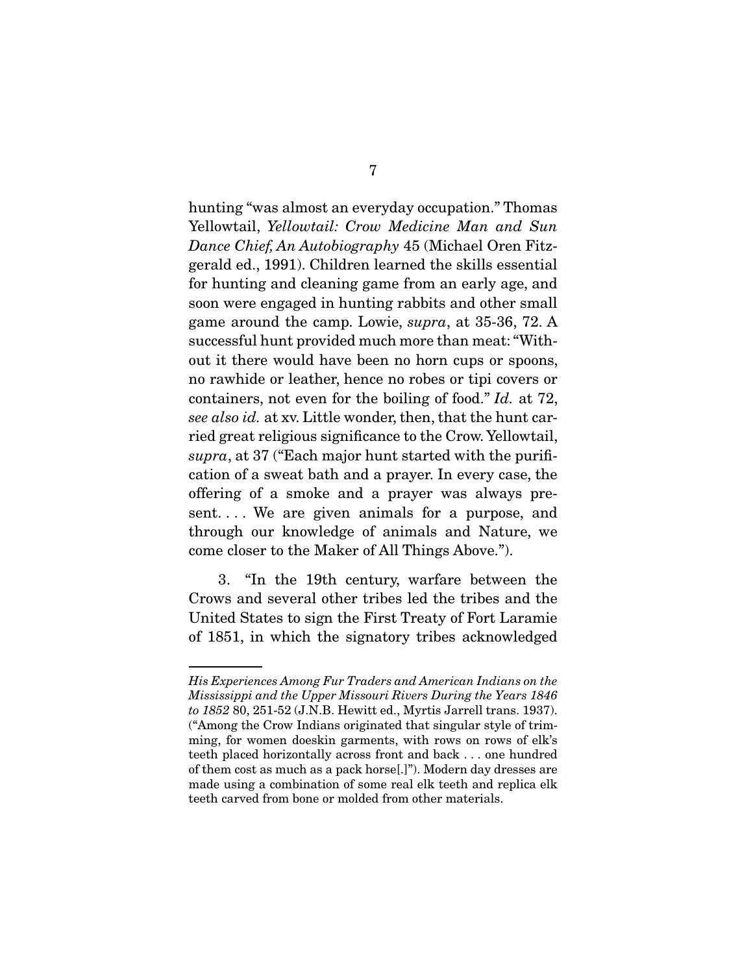hunting "was almost an everyday occupation." Thomas Yellowtail, *Yellowtail: Crow Medicine Man and Sun Dance Chief, An Autobiography* 45 (Michael Oren Fitzgerald ed., 1991). Children learned the skills essential for hunting and cleaning game from an early age, and soon were engaged in hunting rabbits and other small game around the camp. Lowie, *supra*, at 35-36, 72. A successful hunt provided much more than meat: "Without it there would have been no horn cups or spoons, no rawhide or leather, hence no robes or tipi covers or containers, not even for the boiling of food." *Id.* at 72, *see also id.* at xv. Little wonder, then, that the hunt carried great religious significance to the Crow. Yellowtail, *supra*, at 37 ("Each major hunt started with the purification of a sweat bath and a prayer. In every case, the offering of a smoke and a prayer was always present. . . . We are given animals for a purpose, and through our knowledge of animals and Nature, we come closer to the Maker of All Things Above.").

 3. "In the 19th century, warfare between the Crows and several other tribes led the tribes and the United States to sign the First Treaty of Fort Laramie of 1851, in which the signatory tribes acknowledged

*His Experiences Among Fur Traders and American Indians on the Mississippi and the Upper Missouri Rivers During the Years 1846 to 1852* 80, 251-52 (J.N.B. Hewitt ed., Myrtis Jarrell trans. 1937). ("Among the Crow Indians originated that singular style of trimming, for women doeskin garments, with rows on rows of elk's teeth placed horizontally across front and back . . . one hundred of them cost as much as a pack horse[.]"). Modern day dresses are made using a combination of some real elk teeth and replica elk teeth carved from bone or molded from other materials.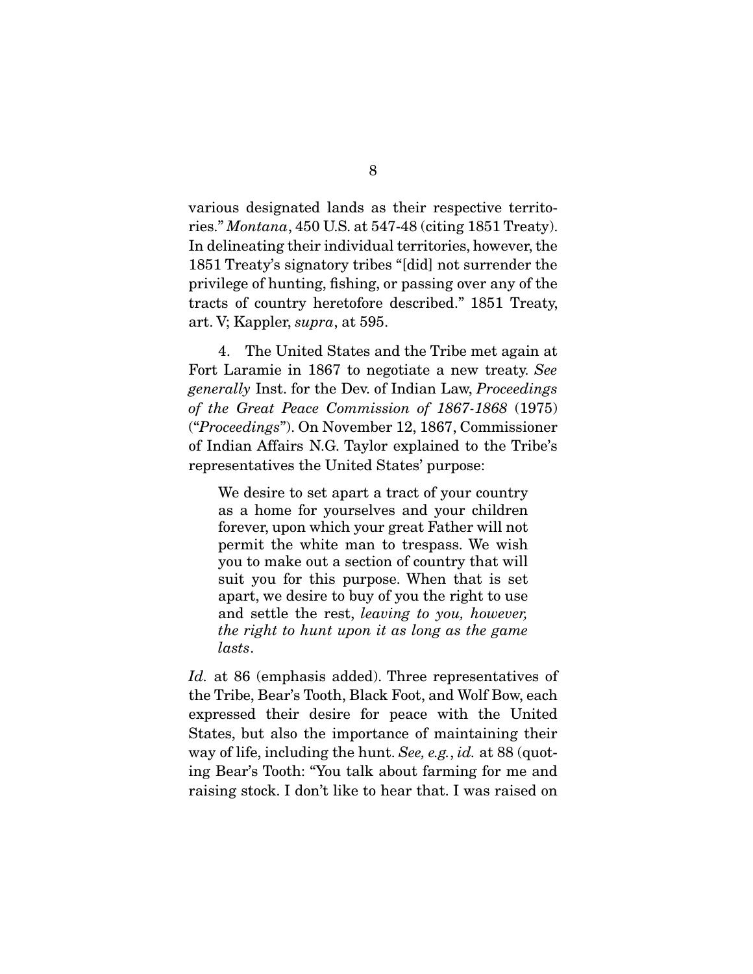various designated lands as their respective territories." *Montana*, 450 U.S. at 547-48 (citing 1851 Treaty). In delineating their individual territories, however, the 1851 Treaty's signatory tribes "[did] not surrender the privilege of hunting, fishing, or passing over any of the tracts of country heretofore described." 1851 Treaty, art. V; Kappler, *supra*, at 595.

 4. The United States and the Tribe met again at Fort Laramie in 1867 to negotiate a new treaty. *See generally* Inst. for the Dev. of Indian Law, *Proceedings of the Great Peace Commission of 1867-1868* (1975) ("*Proceedings*"). On November 12, 1867, Commissioner of Indian Affairs N.G. Taylor explained to the Tribe's representatives the United States' purpose:

We desire to set apart a tract of your country as a home for yourselves and your children forever, upon which your great Father will not permit the white man to trespass. We wish you to make out a section of country that will suit you for this purpose. When that is set apart, we desire to buy of you the right to use and settle the rest, *leaving to you, however, the right to hunt upon it as long as the game lasts*.

*Id.* at 86 (emphasis added). Three representatives of the Tribe, Bear's Tooth, Black Foot, and Wolf Bow, each expressed their desire for peace with the United States, but also the importance of maintaining their way of life, including the hunt. *See, e.g.*, *id.* at 88 (quoting Bear's Tooth: "You talk about farming for me and raising stock. I don't like to hear that. I was raised on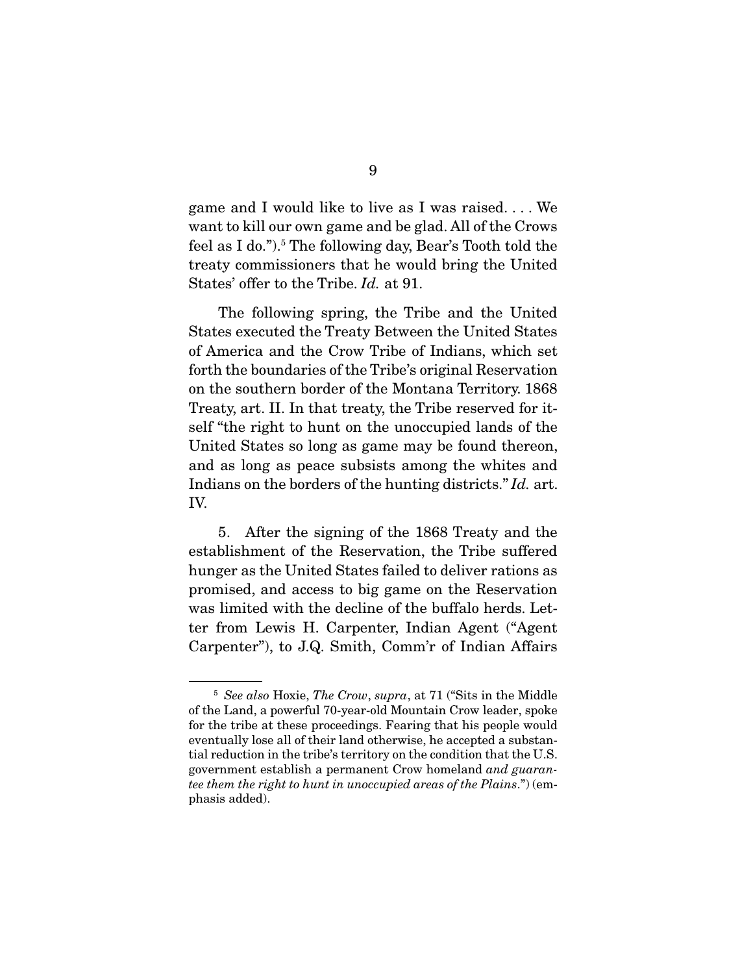game and I would like to live as I was raised. . . . We want to kill our own game and be glad. All of the Crows feel as I do.").<sup>5</sup> The following day, Bear's Tooth told the treaty commissioners that he would bring the United States' offer to the Tribe. *Id.* at 91.

 The following spring, the Tribe and the United States executed the Treaty Between the United States of America and the Crow Tribe of Indians, which set forth the boundaries of the Tribe's original Reservation on the southern border of the Montana Territory. 1868 Treaty, art. II. In that treaty, the Tribe reserved for itself "the right to hunt on the unoccupied lands of the United States so long as game may be found thereon, and as long as peace subsists among the whites and Indians on the borders of the hunting districts." *Id.* art. IV.

 5. After the signing of the 1868 Treaty and the establishment of the Reservation, the Tribe suffered hunger as the United States failed to deliver rations as promised, and access to big game on the Reservation was limited with the decline of the buffalo herds. Letter from Lewis H. Carpenter, Indian Agent ("Agent Carpenter"), to J.Q. Smith, Comm'r of Indian Affairs

<sup>5</sup> *See also* Hoxie, *The Crow*, *supra*, at 71 ("Sits in the Middle of the Land, a powerful 70-year-old Mountain Crow leader, spoke for the tribe at these proceedings. Fearing that his people would eventually lose all of their land otherwise, he accepted a substantial reduction in the tribe's territory on the condition that the U.S. government establish a permanent Crow homeland *and guarantee them the right to hunt in unoccupied areas of the Plains*.") (emphasis added).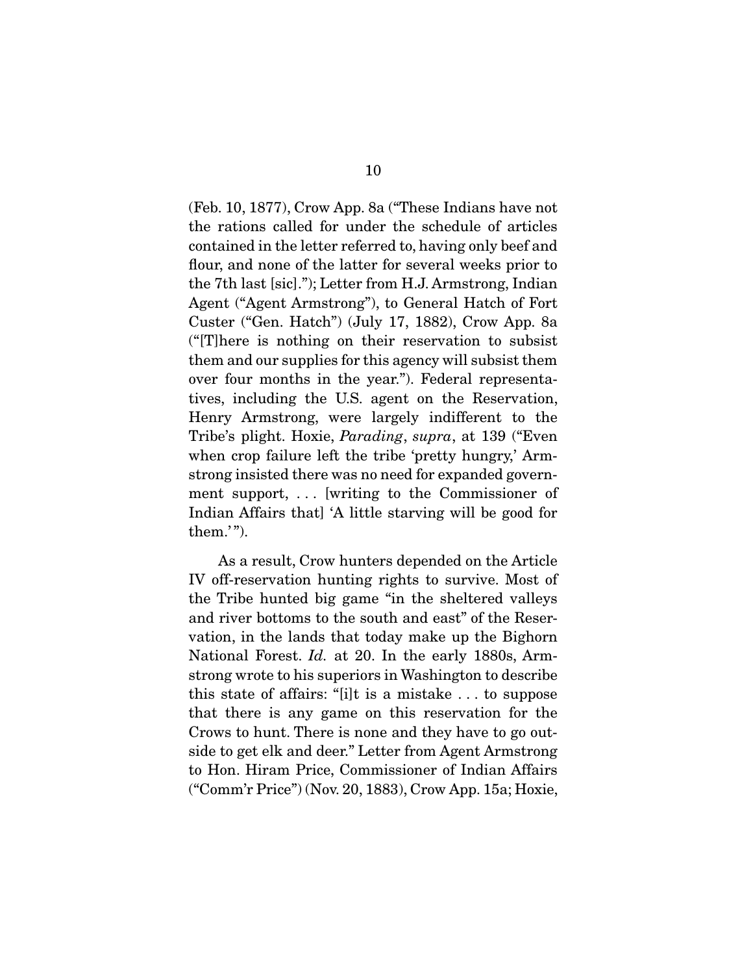(Feb. 10, 1877), Crow App. 8a ("These Indians have not the rations called for under the schedule of articles contained in the letter referred to, having only beef and flour, and none of the latter for several weeks prior to the 7th last [sic]."); Letter from H.J. Armstrong, Indian Agent ("Agent Armstrong"), to General Hatch of Fort Custer ("Gen. Hatch") (July 17, 1882), Crow App. 8a ("[T]here is nothing on their reservation to subsist them and our supplies for this agency will subsist them over four months in the year."). Federal representatives, including the U.S. agent on the Reservation, Henry Armstrong, were largely indifferent to the Tribe's plight. Hoxie, *Parading*, *supra*, at 139 ("Even when crop failure left the tribe 'pretty hungry,' Armstrong insisted there was no need for expanded government support, . . . [writing to the Commissioner of Indian Affairs that] 'A little starving will be good for them.'").

 As a result, Crow hunters depended on the Article IV off-reservation hunting rights to survive. Most of the Tribe hunted big game "in the sheltered valleys and river bottoms to the south and east" of the Reservation, in the lands that today make up the Bighorn National Forest. *Id.* at 20. In the early 1880s, Armstrong wrote to his superiors in Washington to describe this state of affairs: "[i]t is a mistake . . . to suppose that there is any game on this reservation for the Crows to hunt. There is none and they have to go outside to get elk and deer." Letter from Agent Armstrong to Hon. Hiram Price, Commissioner of Indian Affairs ("Comm'r Price") (Nov. 20, 1883), Crow App. 15a; Hoxie,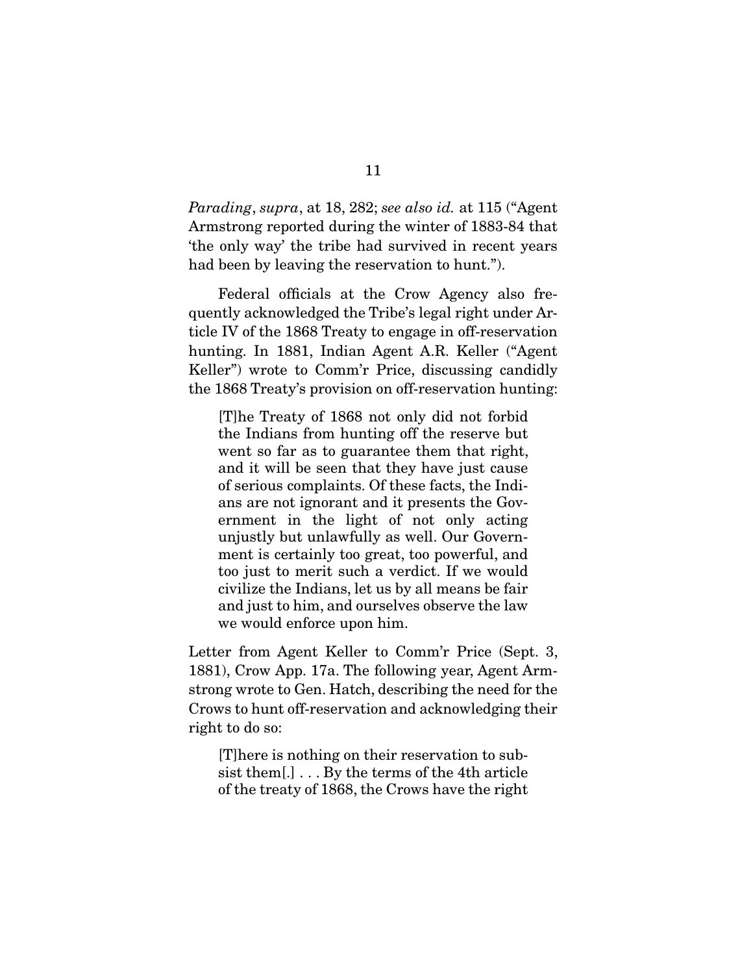*Parading*, *supra*, at 18, 282; *see also id.* at 115 ("Agent Armstrong reported during the winter of 1883-84 that 'the only way' the tribe had survived in recent years had been by leaving the reservation to hunt.").

 Federal officials at the Crow Agency also frequently acknowledged the Tribe's legal right under Article IV of the 1868 Treaty to engage in off-reservation hunting. In 1881, Indian Agent A.R. Keller ("Agent Keller") wrote to Comm'r Price, discussing candidly the 1868 Treaty's provision on off-reservation hunting:

[T]he Treaty of 1868 not only did not forbid the Indians from hunting off the reserve but went so far as to guarantee them that right, and it will be seen that they have just cause of serious complaints. Of these facts, the Indians are not ignorant and it presents the Government in the light of not only acting unjustly but unlawfully as well. Our Government is certainly too great, too powerful, and too just to merit such a verdict. If we would civilize the Indians, let us by all means be fair and just to him, and ourselves observe the law we would enforce upon him.

Letter from Agent Keller to Comm'r Price (Sept. 3, 1881), Crow App. 17a. The following year, Agent Armstrong wrote to Gen. Hatch, describing the need for the Crows to hunt off-reservation and acknowledging their right to do so:

[T]here is nothing on their reservation to subsist them[.] . . . By the terms of the 4th article of the treaty of 1868, the Crows have the right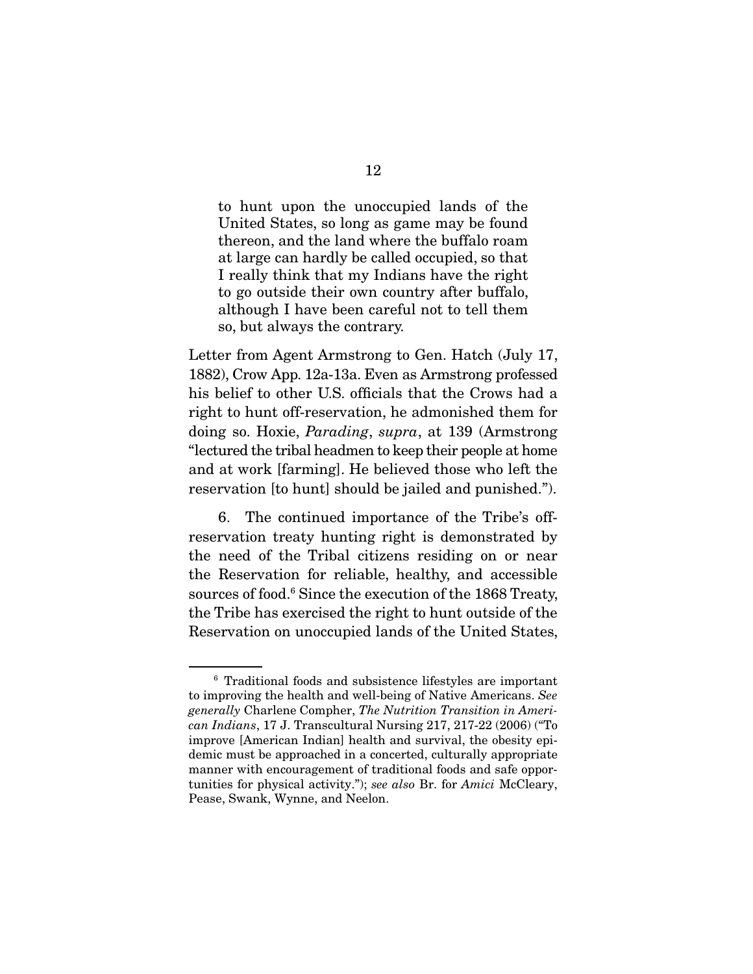to hunt upon the unoccupied lands of the United States, so long as game may be found thereon, and the land where the buffalo roam at large can hardly be called occupied, so that I really think that my Indians have the right to go outside their own country after buffalo, although I have been careful not to tell them so, but always the contrary.

Letter from Agent Armstrong to Gen. Hatch (July 17, 1882), Crow App. 12a-13a. Even as Armstrong professed his belief to other U.S. officials that the Crows had a right to hunt off-reservation, he admonished them for doing so. Hoxie, *Parading*, *supra*, at 139 (Armstrong "lectured the tribal headmen to keep their people at home and at work [farming]. He believed those who left the reservation [to hunt] should be jailed and punished.").

 6. The continued importance of the Tribe's offreservation treaty hunting right is demonstrated by the need of the Tribal citizens residing on or near the Reservation for reliable, healthy, and accessible sources of food.6 Since the execution of the 1868 Treaty, the Tribe has exercised the right to hunt outside of the Reservation on unoccupied lands of the United States,

<sup>6</sup> Traditional foods and subsistence lifestyles are important to improving the health and well-being of Native Americans. *See generally* Charlene Compher, *The Nutrition Transition in American Indians*, 17 J. Transcultural Nursing 217, 217-22 (2006) ("To improve [American Indian] health and survival, the obesity epidemic must be approached in a concerted, culturally appropriate manner with encouragement of traditional foods and safe opportunities for physical activity."); *see also* Br. for *Amici* McCleary, Pease, Swank, Wynne, and Neelon.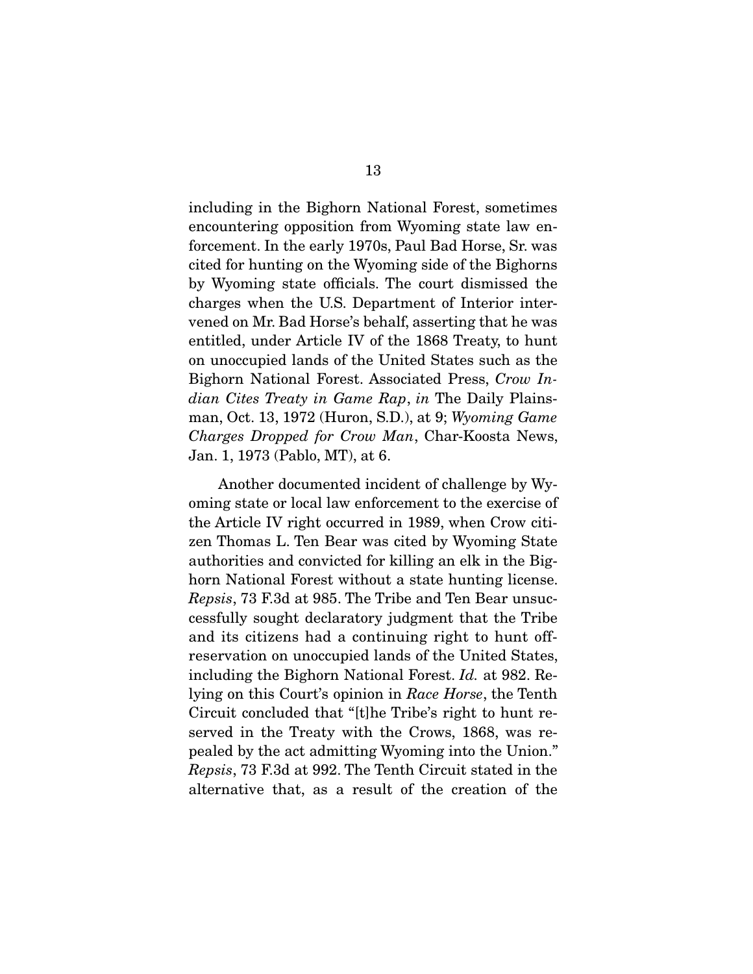including in the Bighorn National Forest, sometimes encountering opposition from Wyoming state law enforcement. In the early 1970s, Paul Bad Horse, Sr. was cited for hunting on the Wyoming side of the Bighorns by Wyoming state officials. The court dismissed the charges when the U.S. Department of Interior intervened on Mr. Bad Horse's behalf, asserting that he was entitled, under Article IV of the 1868 Treaty, to hunt on unoccupied lands of the United States such as the Bighorn National Forest. Associated Press, *Crow Indian Cites Treaty in Game Rap*, *in* The Daily Plainsman, Oct. 13, 1972 (Huron, S.D.), at 9; *Wyoming Game Charges Dropped for Crow Man*, Char-Koosta News, Jan. 1, 1973 (Pablo, MT), at 6.

 Another documented incident of challenge by Wyoming state or local law enforcement to the exercise of the Article IV right occurred in 1989, when Crow citizen Thomas L. Ten Bear was cited by Wyoming State authorities and convicted for killing an elk in the Bighorn National Forest without a state hunting license. *Repsis*, 73 F.3d at 985. The Tribe and Ten Bear unsuccessfully sought declaratory judgment that the Tribe and its citizens had a continuing right to hunt offreservation on unoccupied lands of the United States, including the Bighorn National Forest. *Id.* at 982. Relying on this Court's opinion in *Race Horse*, the Tenth Circuit concluded that "[t]he Tribe's right to hunt reserved in the Treaty with the Crows, 1868, was repealed by the act admitting Wyoming into the Union." *Repsis*, 73 F.3d at 992. The Tenth Circuit stated in the alternative that, as a result of the creation of the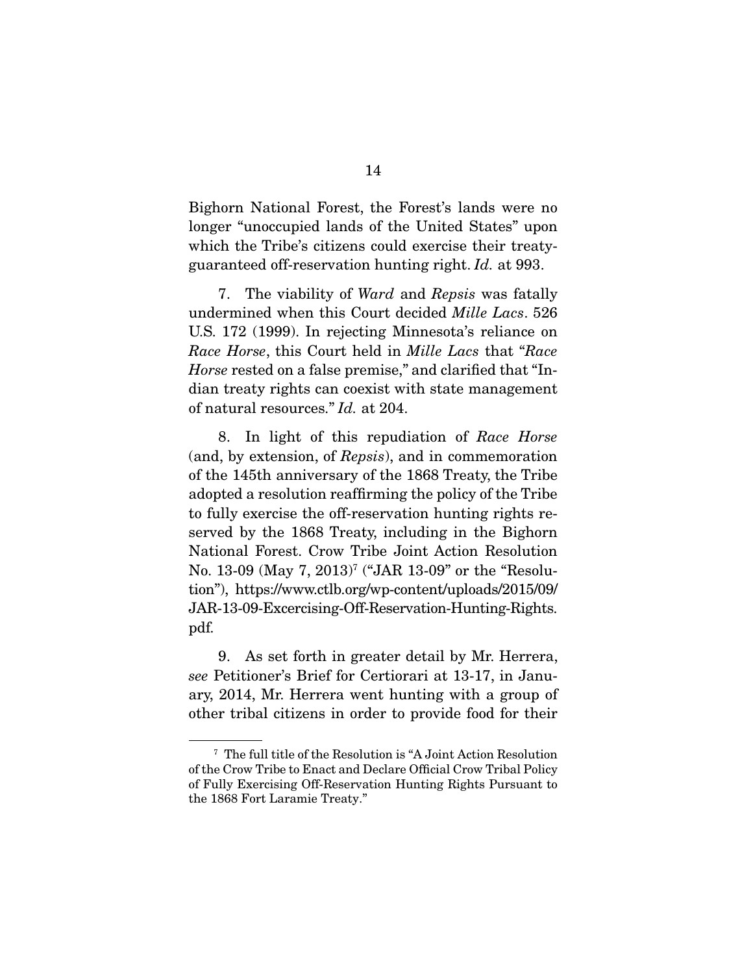Bighorn National Forest, the Forest's lands were no longer "unoccupied lands of the United States" upon which the Tribe's citizens could exercise their treatyguaranteed off-reservation hunting right. *Id.* at 993.

 7. The viability of *Ward* and *Repsis* was fatally undermined when this Court decided *Mille Lacs*. 526 U.S. 172 (1999). In rejecting Minnesota's reliance on *Race Horse*, this Court held in *Mille Lacs* that "*Race Horse* rested on a false premise," and clarified that "Indian treaty rights can coexist with state management of natural resources." *Id.* at 204.

 8. In light of this repudiation of *Race Horse*  (and, by extension, of *Repsis*), and in commemoration of the 145th anniversary of the 1868 Treaty, the Tribe adopted a resolution reaffirming the policy of the Tribe to fully exercise the off-reservation hunting rights reserved by the 1868 Treaty, including in the Bighorn National Forest. Crow Tribe Joint Action Resolution No. 13-09 (May 7, 2013)<sup>7</sup> ("JAR 13-09" or the "Resolution"), https://www.ctlb.org/wp-content/uploads/2015/09/ JAR-13-09-Excercising-Off-Reservation-Hunting-Rights. pdf.

 9. As set forth in greater detail by Mr. Herrera, *see* Petitioner's Brief for Certiorari at 13-17, in January, 2014, Mr. Herrera went hunting with a group of other tribal citizens in order to provide food for their

<sup>7</sup> The full title of the Resolution is "A Joint Action Resolution of the Crow Tribe to Enact and Declare Official Crow Tribal Policy of Fully Exercising Off-Reservation Hunting Rights Pursuant to the 1868 Fort Laramie Treaty."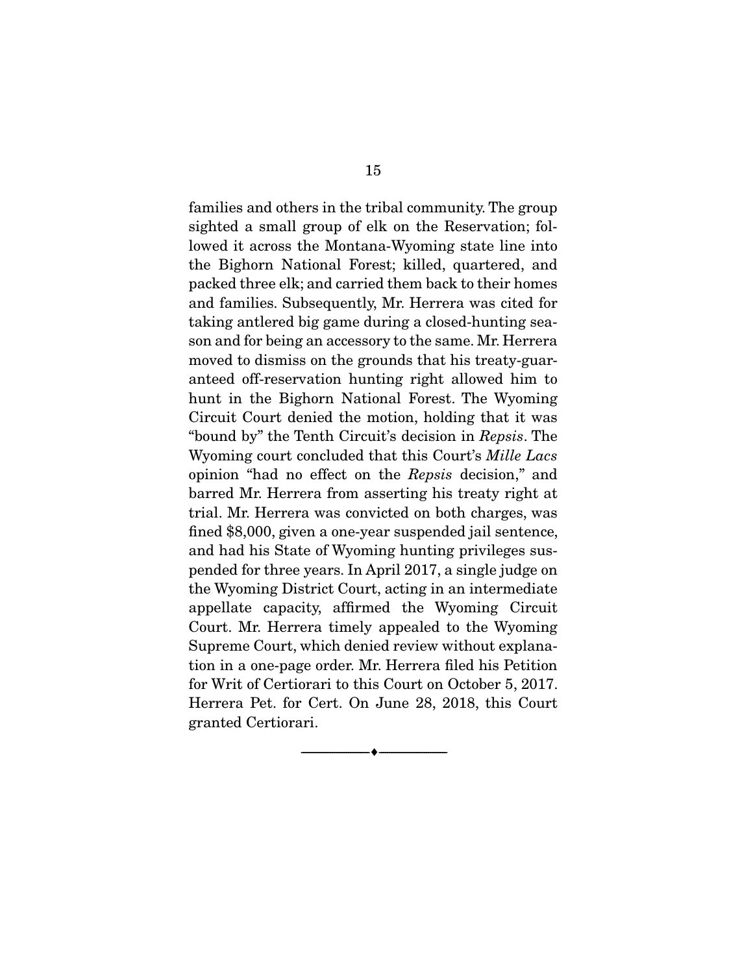families and others in the tribal community. The group sighted a small group of elk on the Reservation; followed it across the Montana-Wyoming state line into the Bighorn National Forest; killed, quartered, and packed three elk; and carried them back to their homes and families. Subsequently, Mr. Herrera was cited for taking antlered big game during a closed-hunting season and for being an accessory to the same. Mr. Herrera moved to dismiss on the grounds that his treaty-guaranteed off-reservation hunting right allowed him to hunt in the Bighorn National Forest. The Wyoming Circuit Court denied the motion, holding that it was "bound by" the Tenth Circuit's decision in *Repsis*. The Wyoming court concluded that this Court's *Mille Lacs* opinion "had no effect on the *Repsis* decision," and barred Mr. Herrera from asserting his treaty right at trial. Mr. Herrera was convicted on both charges, was fined \$8,000, given a one-year suspended jail sentence, and had his State of Wyoming hunting privileges suspended for three years. In April 2017, a single judge on the Wyoming District Court, acting in an intermediate appellate capacity, affirmed the Wyoming Circuit Court. Mr. Herrera timely appealed to the Wyoming Supreme Court, which denied review without explanation in a one-page order. Mr. Herrera filed his Petition for Writ of Certiorari to this Court on October 5, 2017. Herrera Pet. for Cert. On June 28, 2018, this Court granted Certiorari.

--------------------------------- ---------------------------------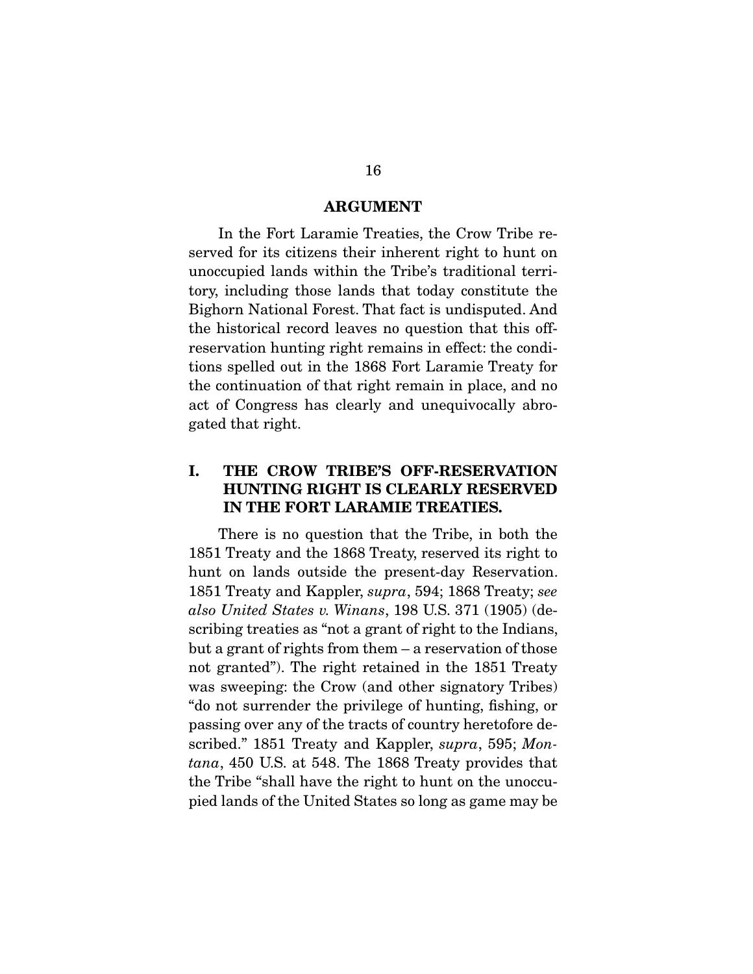#### ARGUMENT

 In the Fort Laramie Treaties, the Crow Tribe reserved for its citizens their inherent right to hunt on unoccupied lands within the Tribe's traditional territory, including those lands that today constitute the Bighorn National Forest. That fact is undisputed. And the historical record leaves no question that this offreservation hunting right remains in effect: the conditions spelled out in the 1868 Fort Laramie Treaty for the continuation of that right remain in place, and no act of Congress has clearly and unequivocally abrogated that right.

## I. THE CROW TRIBE'S OFF-RESERVATION HUNTING RIGHT IS CLEARLY RESERVED IN THE FORT LARAMIE TREATIES.

 There is no question that the Tribe, in both the 1851 Treaty and the 1868 Treaty, reserved its right to hunt on lands outside the present-day Reservation. 1851 Treaty and Kappler, *supra*, 594; 1868 Treaty; *see also United States v. Winans*, 198 U.S. 371 (1905) (describing treaties as "not a grant of right to the Indians, but a grant of rights from them – a reservation of those not granted"). The right retained in the 1851 Treaty was sweeping: the Crow (and other signatory Tribes) "do not surrender the privilege of hunting, fishing, or passing over any of the tracts of country heretofore described." 1851 Treaty and Kappler, *supra*, 595; *Montana*, 450 U.S. at 548. The 1868 Treaty provides that the Tribe "shall have the right to hunt on the unoccupied lands of the United States so long as game may be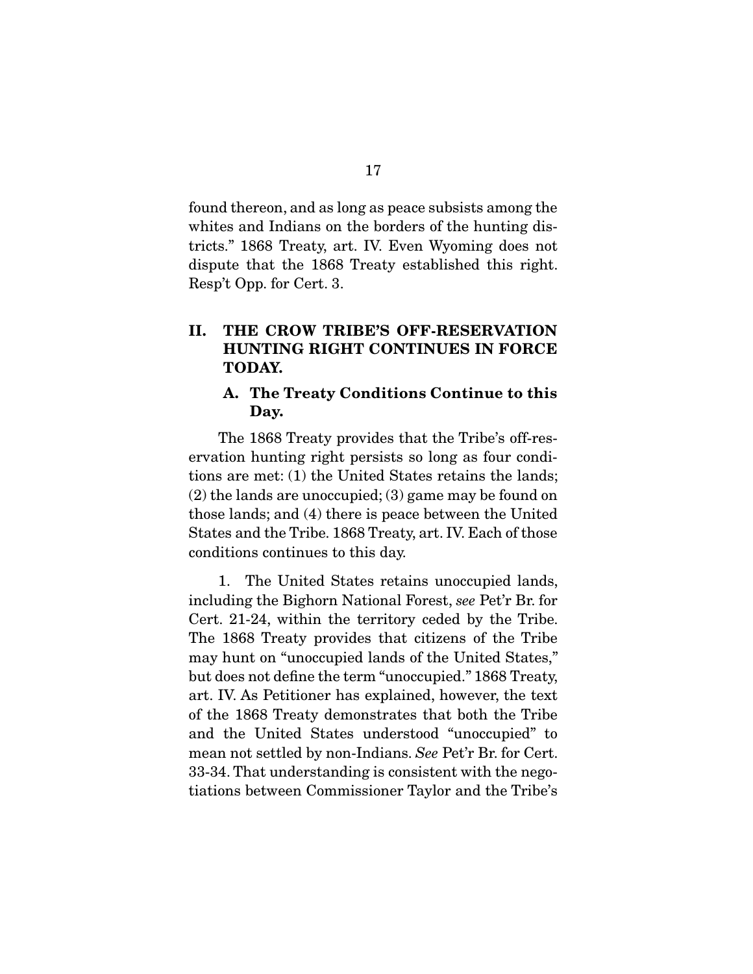found thereon, and as long as peace subsists among the whites and Indians on the borders of the hunting districts." 1868 Treaty, art. IV. Even Wyoming does not dispute that the 1868 Treaty established this right. Resp't Opp. for Cert. 3.

## II. THE CROW TRIBE'S OFF-RESERVATION HUNTING RIGHT CONTINUES IN FORCE TODAY.

### A. The Treaty Conditions Continue to this Day.

 The 1868 Treaty provides that the Tribe's off-reservation hunting right persists so long as four conditions are met: (1) the United States retains the lands; (2) the lands are unoccupied; (3) game may be found on those lands; and (4) there is peace between the United States and the Tribe. 1868 Treaty, art. IV. Each of those conditions continues to this day.

 1. The United States retains unoccupied lands, including the Bighorn National Forest, *see* Pet'r Br. for Cert. 21-24, within the territory ceded by the Tribe. The 1868 Treaty provides that citizens of the Tribe may hunt on "unoccupied lands of the United States," but does not define the term "unoccupied." 1868 Treaty, art. IV. As Petitioner has explained, however, the text of the 1868 Treaty demonstrates that both the Tribe and the United States understood "unoccupied" to mean not settled by non-Indians. *See* Pet'r Br. for Cert. 33-34. That understanding is consistent with the negotiations between Commissioner Taylor and the Tribe's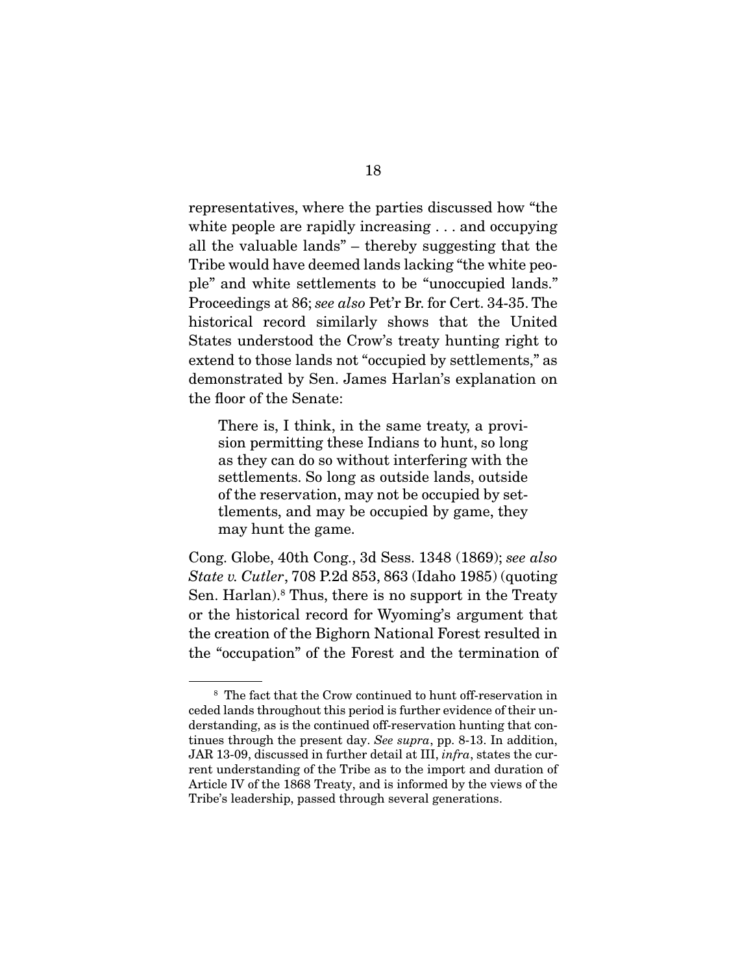representatives, where the parties discussed how "the white people are rapidly increasing . . . and occupying all the valuable lands" – thereby suggesting that the Tribe would have deemed lands lacking "the white people" and white settlements to be "unoccupied lands." Proceedings at 86; *see also* Pet'r Br. for Cert. 34-35. The historical record similarly shows that the United States understood the Crow's treaty hunting right to extend to those lands not "occupied by settlements," as demonstrated by Sen. James Harlan's explanation on the floor of the Senate:

There is, I think, in the same treaty, a provision permitting these Indians to hunt, so long as they can do so without interfering with the settlements. So long as outside lands, outside of the reservation, may not be occupied by settlements, and may be occupied by game, they may hunt the game.

Cong. Globe, 40th Cong., 3d Sess. 1348 (1869); *see also State v. Cutler*, 708 P.2d 853, 863 (Idaho 1985) (quoting Sen. Harlan).<sup>8</sup> Thus, there is no support in the Treaty or the historical record for Wyoming's argument that the creation of the Bighorn National Forest resulted in the "occupation" of the Forest and the termination of

<sup>8</sup> The fact that the Crow continued to hunt off-reservation in ceded lands throughout this period is further evidence of their understanding, as is the continued off-reservation hunting that continues through the present day. *See supra*, pp. 8-13. In addition, JAR 13-09, discussed in further detail at III, *infra*, states the current understanding of the Tribe as to the import and duration of Article IV of the 1868 Treaty, and is informed by the views of the Tribe's leadership, passed through several generations.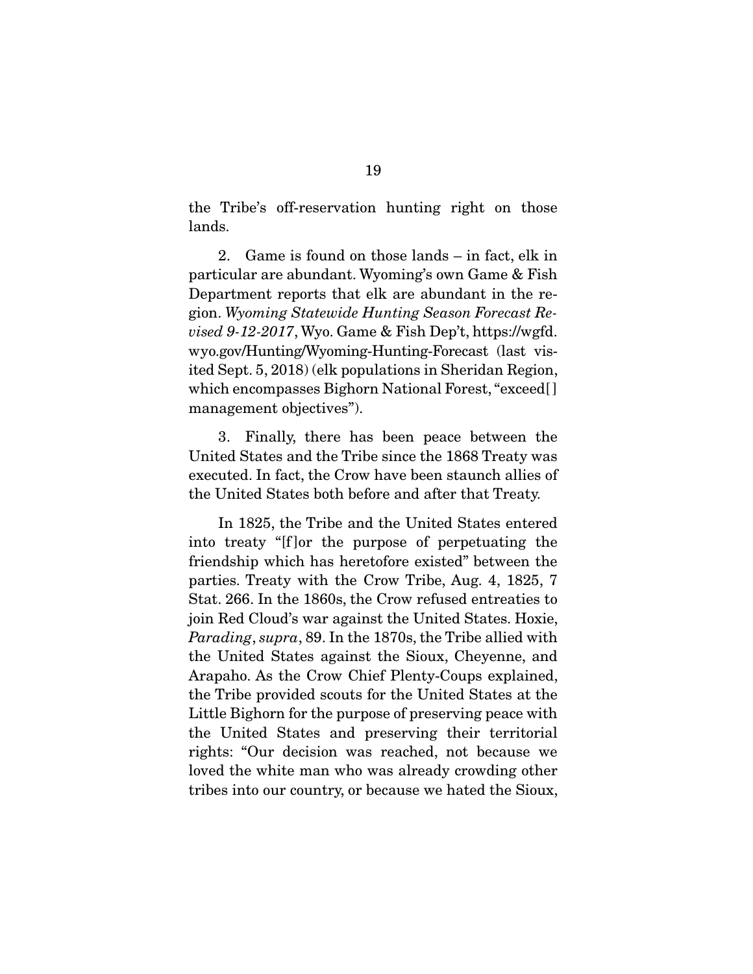the Tribe's off-reservation hunting right on those lands.

 2. Game is found on those lands – in fact, elk in particular are abundant. Wyoming's own Game & Fish Department reports that elk are abundant in the region. *Wyoming Statewide Hunting Season Forecast Revised 9-12-2017*, Wyo. Game & Fish Dep't, https://wgfd. wyo.gov/Hunting/Wyoming-Hunting-Forecast (last visited Sept. 5, 2018) (elk populations in Sheridan Region, which encompasses Bighorn National Forest, "exceed[ ] management objectives").

 3. Finally, there has been peace between the United States and the Tribe since the 1868 Treaty was executed. In fact, the Crow have been staunch allies of the United States both before and after that Treaty.

 In 1825, the Tribe and the United States entered into treaty "[f ]or the purpose of perpetuating the friendship which has heretofore existed" between the parties. Treaty with the Crow Tribe, Aug. 4, 1825, 7 Stat. 266. In the 1860s, the Crow refused entreaties to join Red Cloud's war against the United States. Hoxie, *Parading*, *supra*, 89. In the 1870s, the Tribe allied with the United States against the Sioux, Cheyenne, and Arapaho. As the Crow Chief Plenty-Coups explained, the Tribe provided scouts for the United States at the Little Bighorn for the purpose of preserving peace with the United States and preserving their territorial rights: "Our decision was reached, not because we loved the white man who was already crowding other tribes into our country, or because we hated the Sioux,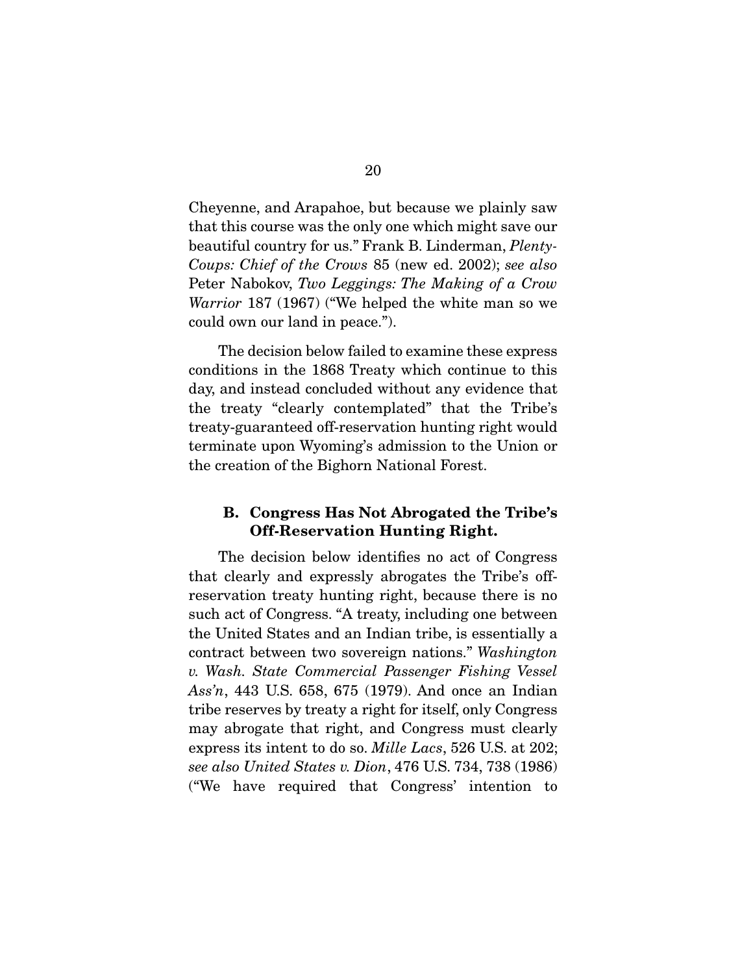Cheyenne, and Arapahoe, but because we plainly saw that this course was the only one which might save our beautiful country for us." Frank B. Linderman, *Plenty-Coups: Chief of the Crows* 85 (new ed. 2002); *see also* Peter Nabokov, *Two Leggings: The Making of a Crow Warrior* 187 (1967) ("We helped the white man so we could own our land in peace.").

 The decision below failed to examine these express conditions in the 1868 Treaty which continue to this day, and instead concluded without any evidence that the treaty "clearly contemplated" that the Tribe's treaty-guaranteed off-reservation hunting right would terminate upon Wyoming's admission to the Union or the creation of the Bighorn National Forest.

### B. Congress Has Not Abrogated the Tribe's Off-Reservation Hunting Right.

 The decision below identifies no act of Congress that clearly and expressly abrogates the Tribe's offreservation treaty hunting right, because there is no such act of Congress. "A treaty, including one between the United States and an Indian tribe, is essentially a contract between two sovereign nations." *Washington v. Wash. State Commercial Passenger Fishing Vessel Ass'n*, 443 U.S. 658, 675 (1979). And once an Indian tribe reserves by treaty a right for itself, only Congress may abrogate that right, and Congress must clearly express its intent to do so. *Mille Lacs*, 526 U.S. at 202; *see also United States v. Dion*, 476 U.S. 734, 738 (1986) ("We have required that Congress' intention to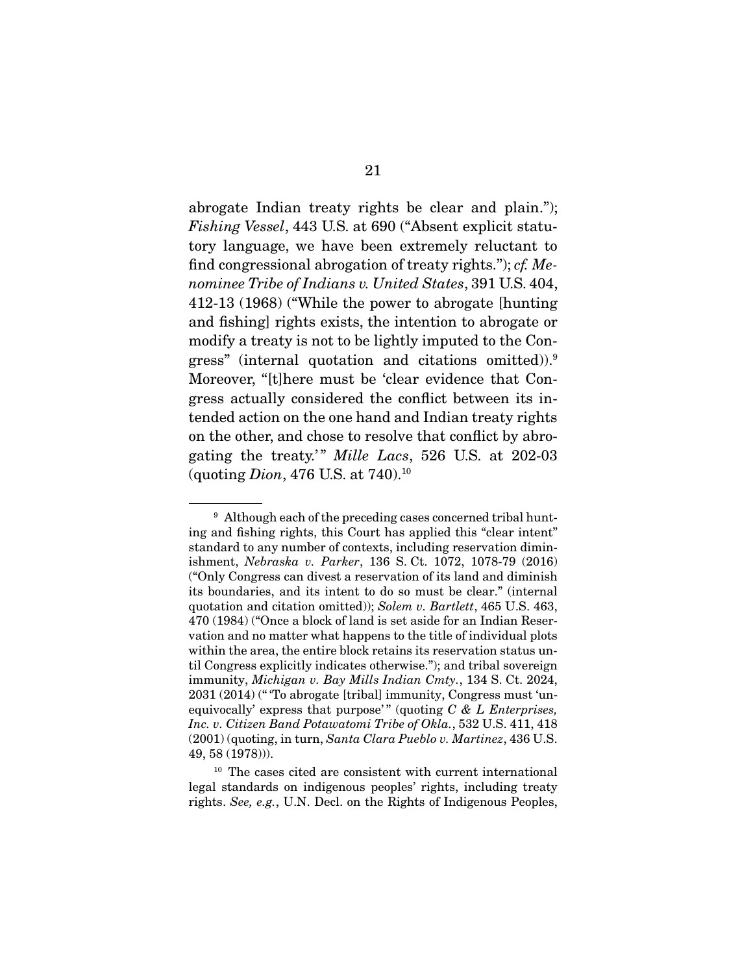abrogate Indian treaty rights be clear and plain."); *Fishing Vessel*, 443 U.S. at 690 ("Absent explicit statutory language, we have been extremely reluctant to find congressional abrogation of treaty rights."); *cf. Menominee Tribe of Indians v. United States*, 391 U.S. 404, 412-13 (1968) ("While the power to abrogate [hunting and fishing] rights exists, the intention to abrogate or modify a treaty is not to be lightly imputed to the Congress" (internal quotation and citations omitted)).9 Moreover, "[t]here must be 'clear evidence that Congress actually considered the conflict between its intended action on the one hand and Indian treaty rights on the other, and chose to resolve that conflict by abrogating the treaty.' " *Mille Lacs*, 526 U.S. at 202-03 (quoting *Dion*, 476 U.S. at 740).10

<sup>&</sup>lt;sup>9</sup> Although each of the preceding cases concerned tribal hunting and fishing rights, this Court has applied this "clear intent" standard to any number of contexts, including reservation diminishment, *Nebraska v. Parker*, 136 S. Ct. 1072, 1078-79 (2016) ("Only Congress can divest a reservation of its land and diminish its boundaries, and its intent to do so must be clear." (internal quotation and citation omitted)); *Solem v. Bartlett*, 465 U.S. 463, 470 (1984) ("Once a block of land is set aside for an Indian Reservation and no matter what happens to the title of individual plots within the area, the entire block retains its reservation status until Congress explicitly indicates otherwise."); and tribal sovereign immunity, *Michigan v. Bay Mills Indian Cmty.*, 134 S. Ct. 2024, 2031 (2014) (" 'To abrogate [tribal] immunity, Congress must 'unequivocally' express that purpose'" (quoting *C & L Enterprises, Inc. v. Citizen Band Potawatomi Tribe of Okla.*, 532 U.S. 411, 418 (2001) (quoting, in turn, *Santa Clara Pueblo v. Martinez*, 436 U.S. 49, 58 (1978))).

<sup>&</sup>lt;sup>10</sup> The cases cited are consistent with current international legal standards on indigenous peoples' rights, including treaty rights. *See, e.g.*, U.N. Decl. on the Rights of Indigenous Peoples,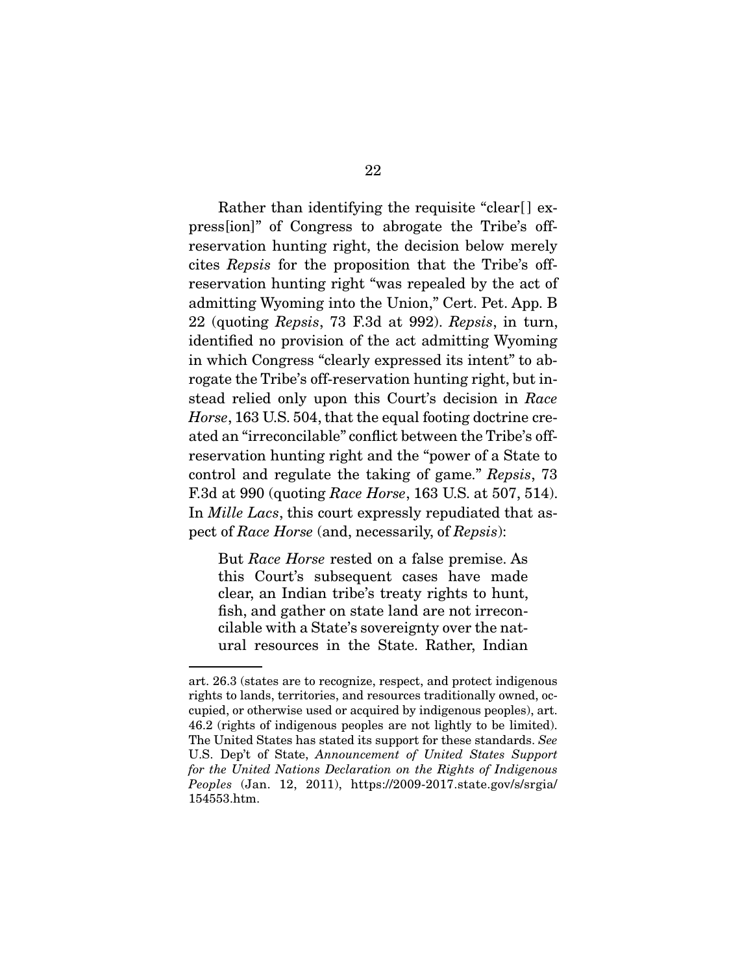Rather than identifying the requisite "clear[] express[ion]" of Congress to abrogate the Tribe's offreservation hunting right, the decision below merely cites *Repsis* for the proposition that the Tribe's offreservation hunting right "was repealed by the act of admitting Wyoming into the Union," Cert. Pet. App. B 22 (quoting *Repsis*, 73 F.3d at 992). *Repsis*, in turn, identified no provision of the act admitting Wyoming in which Congress "clearly expressed its intent" to abrogate the Tribe's off-reservation hunting right, but instead relied only upon this Court's decision in *Race Horse*, 163 U.S. 504, that the equal footing doctrine created an "irreconcilable" conflict between the Tribe's offreservation hunting right and the "power of a State to control and regulate the taking of game." *Repsis*, 73 F.3d at 990 (quoting *Race Horse*, 163 U.S. at 507, 514). In *Mille Lacs*, this court expressly repudiated that aspect of *Race Horse* (and, necessarily, of *Repsis*):

But *Race Horse* rested on a false premise. As this Court's subsequent cases have made clear, an Indian tribe's treaty rights to hunt, fish, and gather on state land are not irreconcilable with a State's sovereignty over the natural resources in the State. Rather, Indian

art. 26.3 (states are to recognize, respect, and protect indigenous rights to lands, territories, and resources traditionally owned, occupied, or otherwise used or acquired by indigenous peoples), art. 46.2 (rights of indigenous peoples are not lightly to be limited). The United States has stated its support for these standards. *See*  U.S. Dep't of State, *Announcement of United States Support for the United Nations Declaration on the Rights of Indigenous Peoples* (Jan. 12, 2011), https://2009-2017.state.gov/s/srgia/ 154553.htm.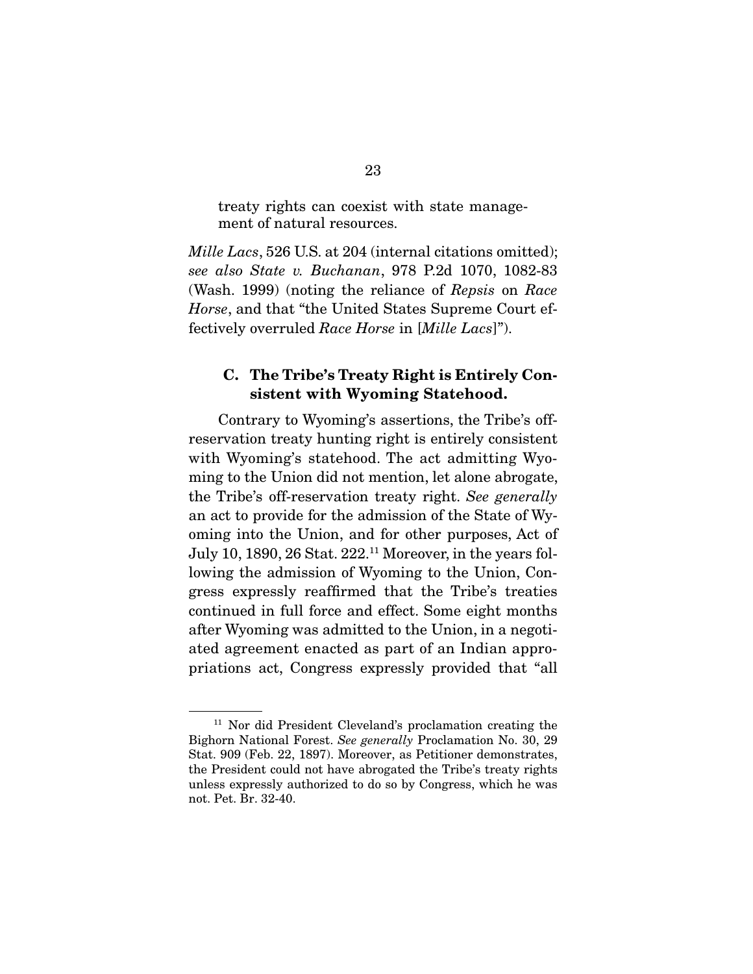treaty rights can coexist with state management of natural resources.

*Mille Lacs*, 526 U.S. at 204 (internal citations omitted); *see also State v. Buchanan*, 978 P.2d 1070, 1082-83 (Wash. 1999) (noting the reliance of *Repsis* on *Race Horse*, and that "the United States Supreme Court effectively overruled *Race Horse* in [*Mille Lacs*]").

### C. The Tribe's Treaty Right is Entirely Consistent with Wyoming Statehood.

 Contrary to Wyoming's assertions, the Tribe's offreservation treaty hunting right is entirely consistent with Wyoming's statehood. The act admitting Wyoming to the Union did not mention, let alone abrogate, the Tribe's off-reservation treaty right. *See generally* an act to provide for the admission of the State of Wyoming into the Union, and for other purposes, Act of July 10, 1890, 26 Stat. 222.11 Moreover, in the years following the admission of Wyoming to the Union, Congress expressly reaffirmed that the Tribe's treaties continued in full force and effect. Some eight months after Wyoming was admitted to the Union, in a negotiated agreement enacted as part of an Indian appropriations act, Congress expressly provided that "all

<sup>11</sup> Nor did President Cleveland's proclamation creating the Bighorn National Forest. *See generally* Proclamation No. 30, 29 Stat. 909 (Feb. 22, 1897). Moreover, as Petitioner demonstrates, the President could not have abrogated the Tribe's treaty rights unless expressly authorized to do so by Congress, which he was not. Pet. Br. 32-40.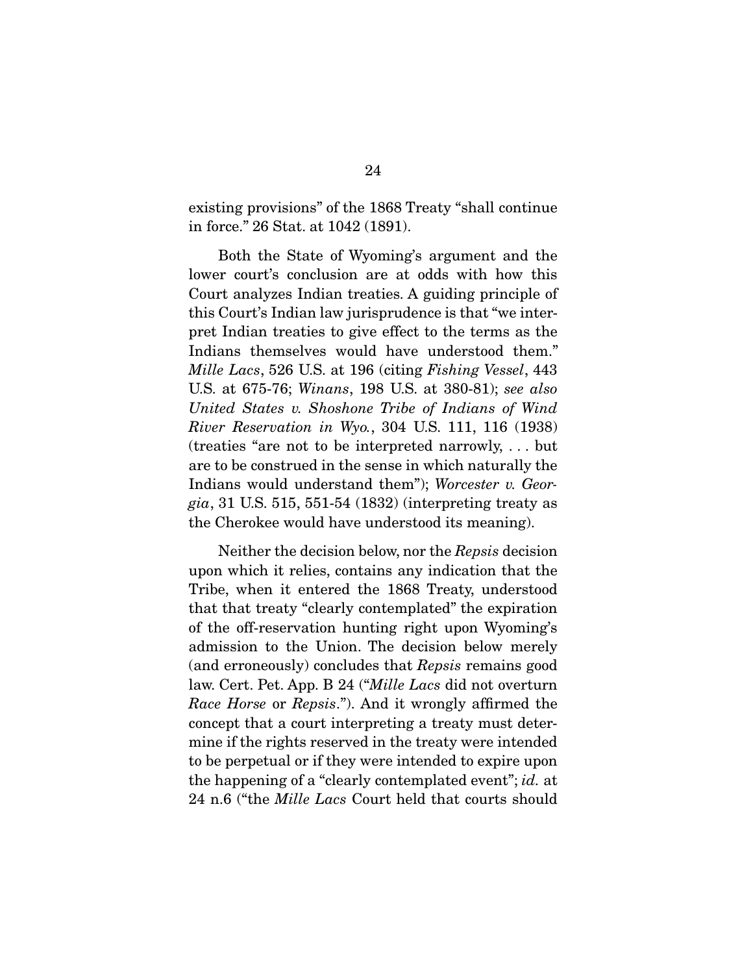existing provisions" of the 1868 Treaty "shall continue in force." 26 Stat. at 1042 (1891).

 Both the State of Wyoming's argument and the lower court's conclusion are at odds with how this Court analyzes Indian treaties. A guiding principle of this Court's Indian law jurisprudence is that "we interpret Indian treaties to give effect to the terms as the Indians themselves would have understood them." *Mille Lacs*, 526 U.S. at 196 (citing *Fishing Vessel*, 443 U.S. at 675-76; *Winans*, 198 U.S. at 380-81); *see also United States v. Shoshone Tribe of Indians of Wind River Reservation in Wyo.*, 304 U.S. 111, 116 (1938) (treaties "are not to be interpreted narrowly, . . . but are to be construed in the sense in which naturally the Indians would understand them"); *Worcester v. Georgia*, 31 U.S. 515, 551-54 (1832) (interpreting treaty as the Cherokee would have understood its meaning).

 Neither the decision below, nor the *Repsis* decision upon which it relies, contains any indication that the Tribe, when it entered the 1868 Treaty, understood that that treaty "clearly contemplated" the expiration of the off-reservation hunting right upon Wyoming's admission to the Union. The decision below merely (and erroneously) concludes that *Repsis* remains good law. Cert. Pet. App. B 24 ("*Mille Lacs* did not overturn *Race Horse* or *Repsis*."). And it wrongly affirmed the concept that a court interpreting a treaty must determine if the rights reserved in the treaty were intended to be perpetual or if they were intended to expire upon the happening of a "clearly contemplated event"; *id.* at 24 n.6 ("the *Mille Lacs* Court held that courts should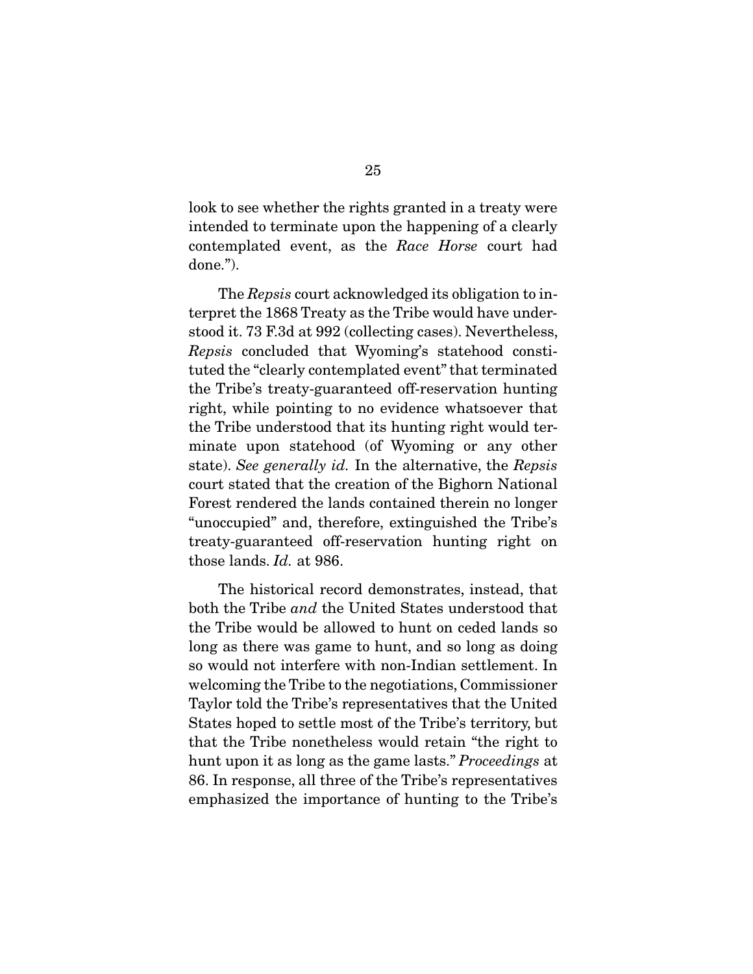look to see whether the rights granted in a treaty were intended to terminate upon the happening of a clearly contemplated event, as the *Race Horse* court had done.").

 The *Repsis* court acknowledged its obligation to interpret the 1868 Treaty as the Tribe would have understood it. 73 F.3d at 992 (collecting cases). Nevertheless, *Repsis* concluded that Wyoming's statehood constituted the "clearly contemplated event" that terminated the Tribe's treaty-guaranteed off-reservation hunting right, while pointing to no evidence whatsoever that the Tribe understood that its hunting right would terminate upon statehood (of Wyoming or any other state). *See generally id.* In the alternative, the *Repsis* court stated that the creation of the Bighorn National Forest rendered the lands contained therein no longer "unoccupied" and, therefore, extinguished the Tribe's treaty-guaranteed off-reservation hunting right on those lands. *Id.* at 986.

 The historical record demonstrates, instead, that both the Tribe *and* the United States understood that the Tribe would be allowed to hunt on ceded lands so long as there was game to hunt, and so long as doing so would not interfere with non-Indian settlement. In welcoming the Tribe to the negotiations, Commissioner Taylor told the Tribe's representatives that the United States hoped to settle most of the Tribe's territory, but that the Tribe nonetheless would retain "the right to hunt upon it as long as the game lasts." *Proceedings* at 86. In response, all three of the Tribe's representatives emphasized the importance of hunting to the Tribe's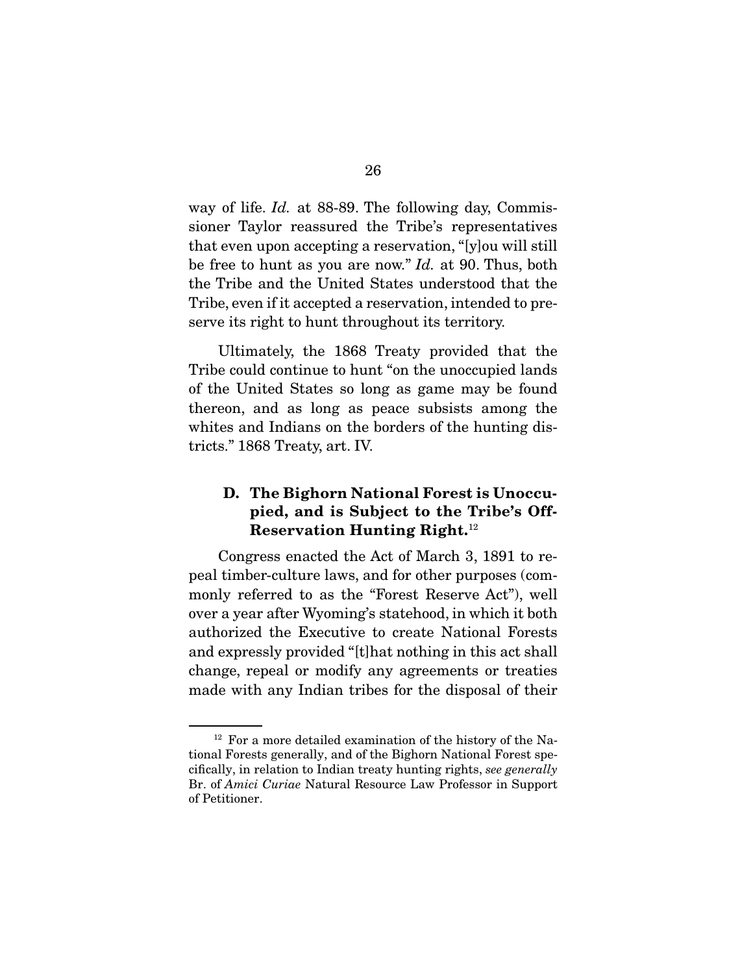way of life. *Id.* at 88-89. The following day, Commissioner Taylor reassured the Tribe's representatives that even upon accepting a reservation, "[y]ou will still be free to hunt as you are now." *Id.* at 90. Thus, both the Tribe and the United States understood that the Tribe, even if it accepted a reservation, intended to preserve its right to hunt throughout its territory.

 Ultimately, the 1868 Treaty provided that the Tribe could continue to hunt "on the unoccupied lands of the United States so long as game may be found thereon, and as long as peace subsists among the whites and Indians on the borders of the hunting districts." 1868 Treaty, art. IV.

## D. The Bighorn National Forest is Unoccupied, and is Subject to the Tribe's Off-Reservation Hunting Right.12

 Congress enacted the Act of March 3, 1891 to repeal timber-culture laws, and for other purposes (commonly referred to as the "Forest Reserve Act"), well over a year after Wyoming's statehood, in which it both authorized the Executive to create National Forests and expressly provided "[t]hat nothing in this act shall change, repeal or modify any agreements or treaties made with any Indian tribes for the disposal of their

<sup>12</sup> For a more detailed examination of the history of the National Forests generally, and of the Bighorn National Forest specifically, in relation to Indian treaty hunting rights, *see generally* Br. of *Amici Curiae* Natural Resource Law Professor in Support of Petitioner.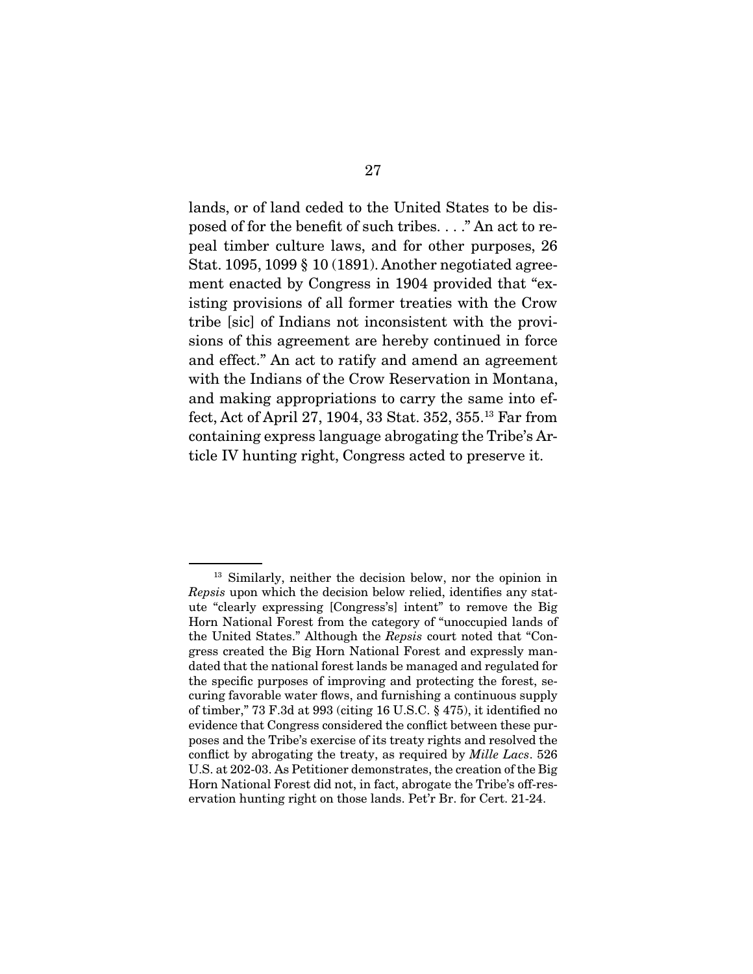lands, or of land ceded to the United States to be disposed of for the benefit of such tribes. . . ." An act to repeal timber culture laws, and for other purposes, 26 Stat. 1095, 1099 § 10 (1891). Another negotiated agreement enacted by Congress in 1904 provided that "existing provisions of all former treaties with the Crow tribe [sic] of Indians not inconsistent with the provisions of this agreement are hereby continued in force and effect." An act to ratify and amend an agreement with the Indians of the Crow Reservation in Montana, and making appropriations to carry the same into effect, Act of April 27, 1904, 33 Stat. 352, 355.13 Far from containing express language abrogating the Tribe's Article IV hunting right, Congress acted to preserve it.

<sup>&</sup>lt;sup>13</sup> Similarly, neither the decision below, nor the opinion in *Repsis* upon which the decision below relied, identifies any statute "clearly expressing [Congress's] intent" to remove the Big Horn National Forest from the category of "unoccupied lands of the United States." Although the *Repsis* court noted that "Congress created the Big Horn National Forest and expressly mandated that the national forest lands be managed and regulated for the specific purposes of improving and protecting the forest, securing favorable water flows, and furnishing a continuous supply of timber," 73 F.3d at 993 (citing 16 U.S.C. § 475), it identified no evidence that Congress considered the conflict between these purposes and the Tribe's exercise of its treaty rights and resolved the conflict by abrogating the treaty, as required by *Mille Lacs*. 526 U.S. at 202-03. As Petitioner demonstrates, the creation of the Big Horn National Forest did not, in fact, abrogate the Tribe's off-reservation hunting right on those lands. Pet'r Br. for Cert. 21-24.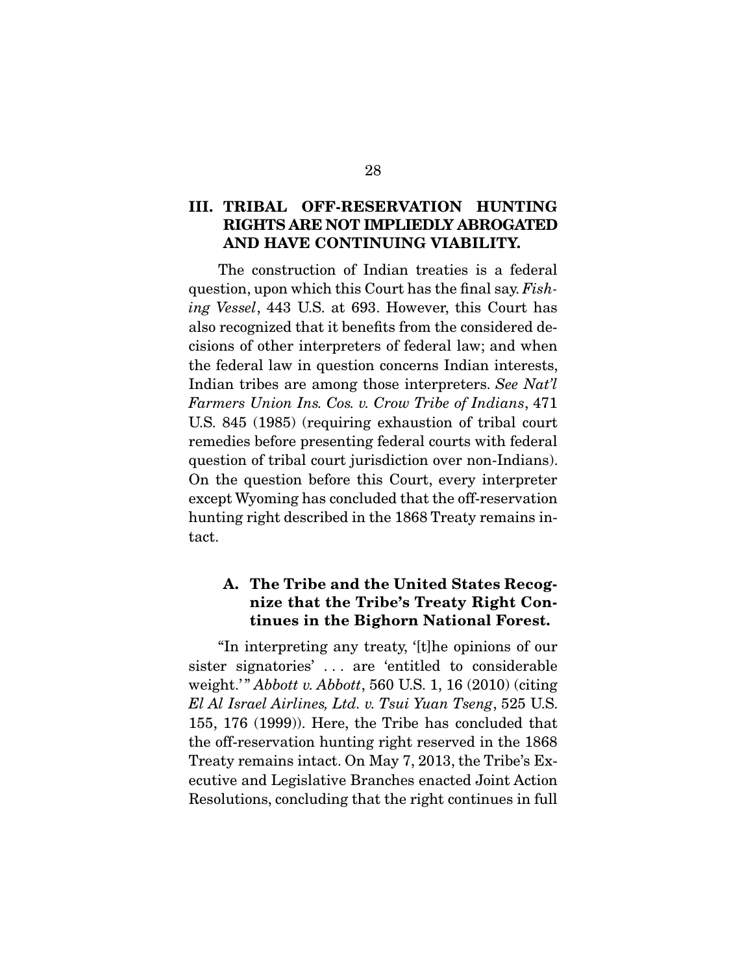### III. TRIBAL OFF-RESERVATION HUNTING RIGHTS ARE NOT IMPLIEDLY ABROGATED AND HAVE CONTINUING VIABILITY.

 The construction of Indian treaties is a federal question, upon which this Court has the final say. *Fishing Vessel*, 443 U.S. at 693. However, this Court has also recognized that it benefits from the considered decisions of other interpreters of federal law; and when the federal law in question concerns Indian interests, Indian tribes are among those interpreters. *See Nat'l Farmers Union Ins. Cos. v. Crow Tribe of Indians*, 471 U.S. 845 (1985) (requiring exhaustion of tribal court remedies before presenting federal courts with federal question of tribal court jurisdiction over non-Indians). On the question before this Court, every interpreter except Wyoming has concluded that the off-reservation hunting right described in the 1868 Treaty remains intact.

## A. The Tribe and the United States Recognize that the Tribe's Treaty Right Continues in the Bighorn National Forest.

 "In interpreting any treaty, '[t]he opinions of our sister signatories' . . . are 'entitled to considerable weight.'" *Abbott v. Abbott*, 560 U.S. 1, 16 (2010) (citing *El Al Israel Airlines, Ltd. v. Tsui Yuan Tseng*, 525 U.S. 155, 176 (1999)). Here, the Tribe has concluded that the off-reservation hunting right reserved in the 1868 Treaty remains intact. On May 7, 2013, the Tribe's Executive and Legislative Branches enacted Joint Action Resolutions, concluding that the right continues in full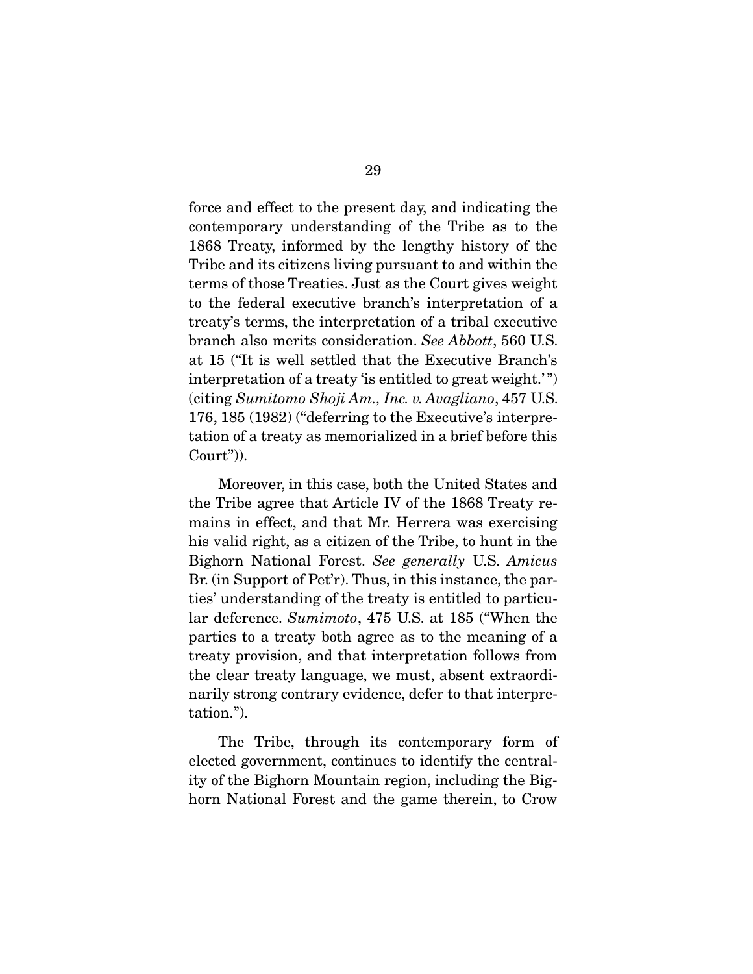force and effect to the present day, and indicating the contemporary understanding of the Tribe as to the 1868 Treaty, informed by the lengthy history of the Tribe and its citizens living pursuant to and within the terms of those Treaties. Just as the Court gives weight to the federal executive branch's interpretation of a treaty's terms, the interpretation of a tribal executive branch also merits consideration. *See Abbott*, 560 U.S. at 15 ("It is well settled that the Executive Branch's interpretation of a treaty 'is entitled to great weight.'") (citing *Sumitomo Shoji Am., Inc. v. Avagliano*, 457 U.S. 176, 185 (1982) ("deferring to the Executive's interpretation of a treaty as memorialized in a brief before this Court")).

 Moreover, in this case, both the United States and the Tribe agree that Article IV of the 1868 Treaty remains in effect, and that Mr. Herrera was exercising his valid right, as a citizen of the Tribe, to hunt in the Bighorn National Forest. *See generally* U.S. *Amicus*  Br. (in Support of Pet'r). Thus, in this instance, the parties' understanding of the treaty is entitled to particular deference. *Sumimoto*, 475 U.S. at 185 ("When the parties to a treaty both agree as to the meaning of a treaty provision, and that interpretation follows from the clear treaty language, we must, absent extraordinarily strong contrary evidence, defer to that interpretation.").

 The Tribe, through its contemporary form of elected government, continues to identify the centrality of the Bighorn Mountain region, including the Bighorn National Forest and the game therein, to Crow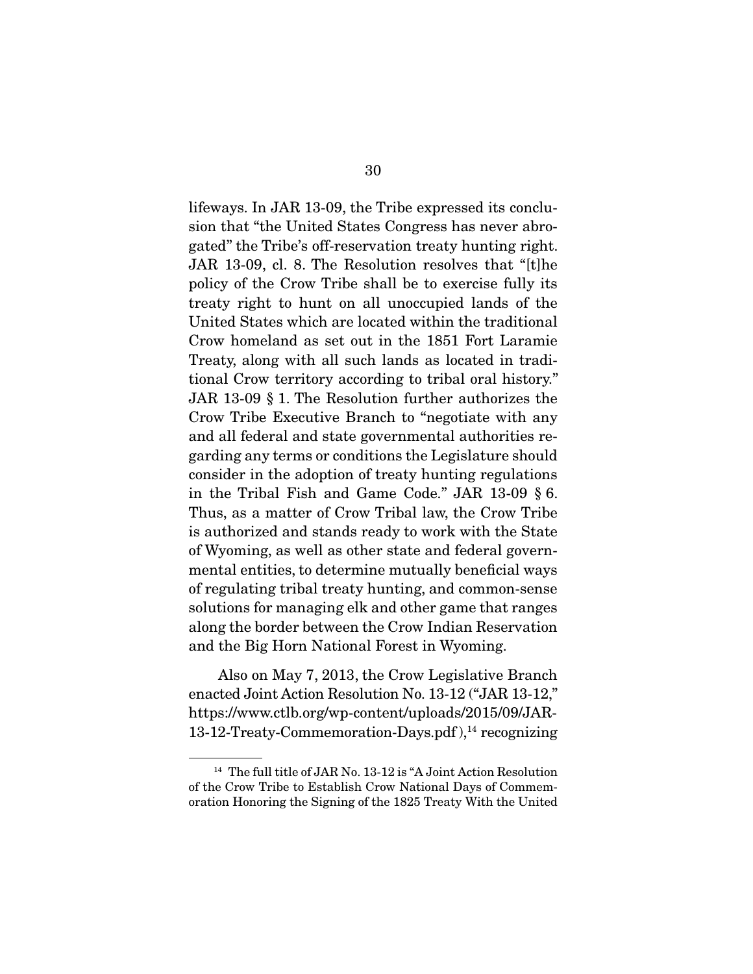lifeways. In JAR 13-09, the Tribe expressed its conclusion that "the United States Congress has never abrogated" the Tribe's off-reservation treaty hunting right. JAR 13-09, cl. 8. The Resolution resolves that "[t]he policy of the Crow Tribe shall be to exercise fully its treaty right to hunt on all unoccupied lands of the United States which are located within the traditional Crow homeland as set out in the 1851 Fort Laramie Treaty, along with all such lands as located in traditional Crow territory according to tribal oral history." JAR 13-09 § 1. The Resolution further authorizes the Crow Tribe Executive Branch to "negotiate with any and all federal and state governmental authorities regarding any terms or conditions the Legislature should consider in the adoption of treaty hunting regulations in the Tribal Fish and Game Code." JAR 13-09 § 6. Thus, as a matter of Crow Tribal law, the Crow Tribe is authorized and stands ready to work with the State of Wyoming, as well as other state and federal governmental entities, to determine mutually beneficial ways of regulating tribal treaty hunting, and common-sense solutions for managing elk and other game that ranges along the border between the Crow Indian Reservation and the Big Horn National Forest in Wyoming.

 Also on May 7, 2013, the Crow Legislative Branch enacted Joint Action Resolution No. 13-12 ("JAR 13-12," https://www.ctlb.org/wp-content/uploads/2015/09/JAR-13-12-Treaty-Commemoration-Days.pdf),<sup>14</sup> recognizing

<sup>&</sup>lt;sup>14</sup> The full title of JAR No. 13-12 is "A Joint Action Resolution of the Crow Tribe to Establish Crow National Days of Commemoration Honoring the Signing of the 1825 Treaty With the United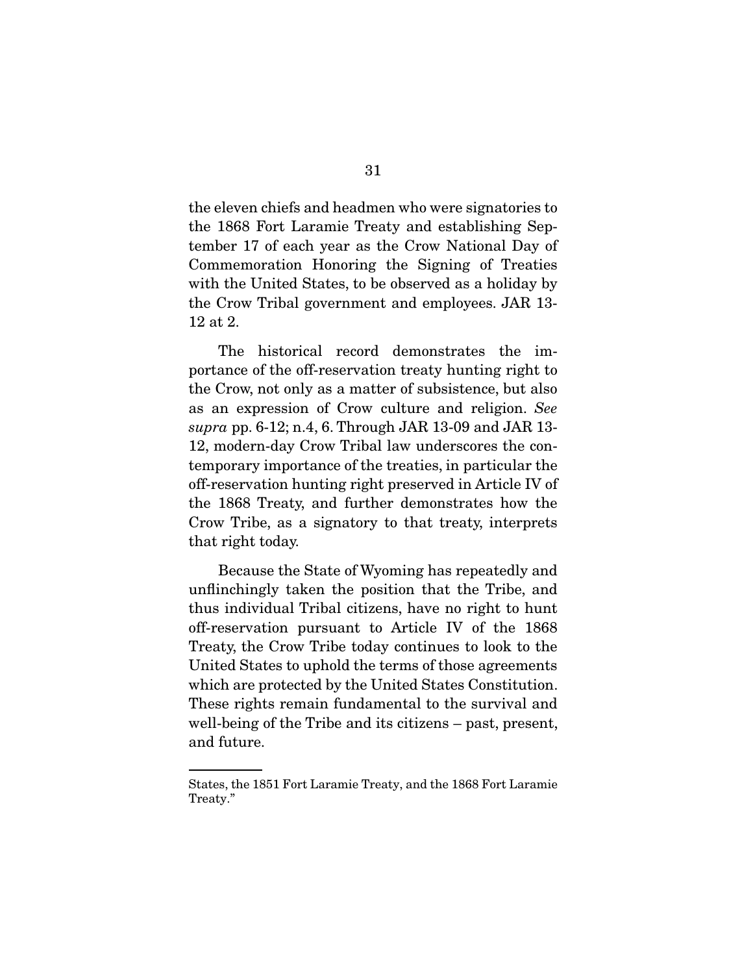the eleven chiefs and headmen who were signatories to the 1868 Fort Laramie Treaty and establishing September 17 of each year as the Crow National Day of Commemoration Honoring the Signing of Treaties with the United States, to be observed as a holiday by the Crow Tribal government and employees. JAR 13- 12 at 2.

 The historical record demonstrates the importance of the off-reservation treaty hunting right to the Crow, not only as a matter of subsistence, but also as an expression of Crow culture and religion. *See supra* pp. 6-12; n.4, 6. Through JAR 13-09 and JAR 13- 12, modern-day Crow Tribal law underscores the contemporary importance of the treaties, in particular the off-reservation hunting right preserved in Article IV of the 1868 Treaty, and further demonstrates how the Crow Tribe, as a signatory to that treaty, interprets that right today.

 Because the State of Wyoming has repeatedly and unflinchingly taken the position that the Tribe, and thus individual Tribal citizens, have no right to hunt off-reservation pursuant to Article IV of the 1868 Treaty, the Crow Tribe today continues to look to the United States to uphold the terms of those agreements which are protected by the United States Constitution. These rights remain fundamental to the survival and well-being of the Tribe and its citizens – past, present, and future.

States, the 1851 Fort Laramie Treaty, and the 1868 Fort Laramie Treaty."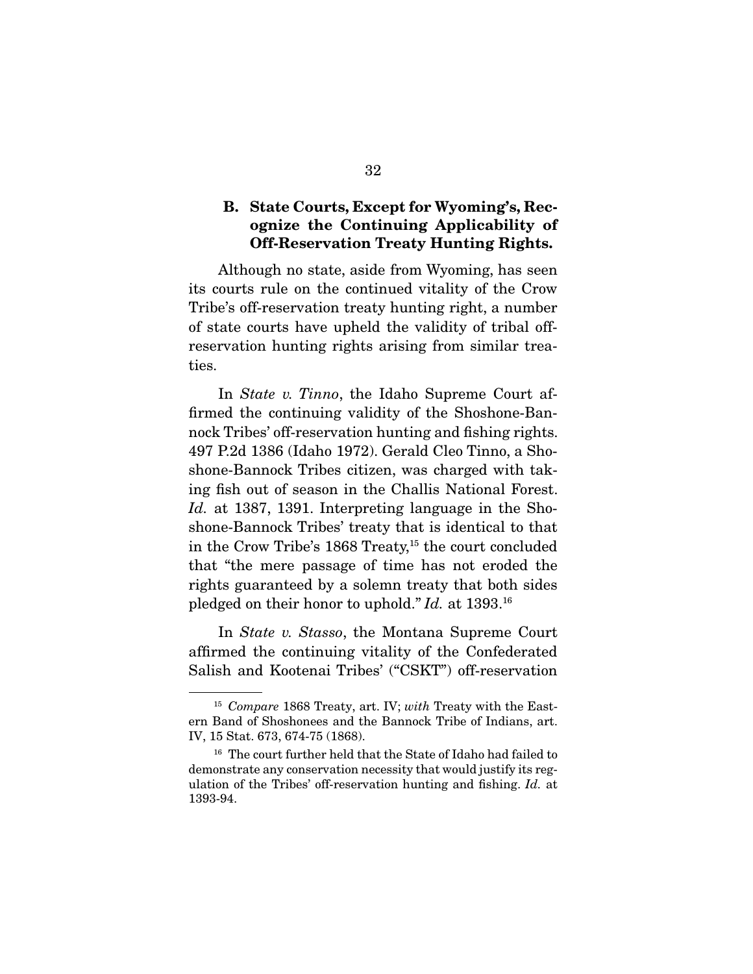## B. State Courts, Except for Wyoming's, Recognize the Continuing Applicability of Off-Reservation Treaty Hunting Rights.

 Although no state, aside from Wyoming, has seen its courts rule on the continued vitality of the Crow Tribe's off-reservation treaty hunting right, a number of state courts have upheld the validity of tribal offreservation hunting rights arising from similar treaties.

 In *State v. Tinno*, the Idaho Supreme Court affirmed the continuing validity of the Shoshone-Bannock Tribes' off-reservation hunting and fishing rights. 497 P.2d 1386 (Idaho 1972). Gerald Cleo Tinno, a Shoshone-Bannock Tribes citizen, was charged with taking fish out of season in the Challis National Forest. *Id.* at 1387, 1391. Interpreting language in the Shoshone-Bannock Tribes' treaty that is identical to that in the Crow Tribe's 1868 Treaty,<sup>15</sup> the court concluded that "the mere passage of time has not eroded the rights guaranteed by a solemn treaty that both sides pledged on their honor to uphold." *Id.* at 1393.16

 In *State v. Stasso*, the Montana Supreme Court affirmed the continuing vitality of the Confederated Salish and Kootenai Tribes' ("CSKT") off-reservation

<sup>15</sup> *Compare* 1868 Treaty, art. IV; *with* Treaty with the Eastern Band of Shoshonees and the Bannock Tribe of Indians, art. IV, 15 Stat. 673, 674-75 (1868).

<sup>&</sup>lt;sup>16</sup> The court further held that the State of Idaho had failed to demonstrate any conservation necessity that would justify its regulation of the Tribes' off-reservation hunting and fishing. *Id.* at 1393-94.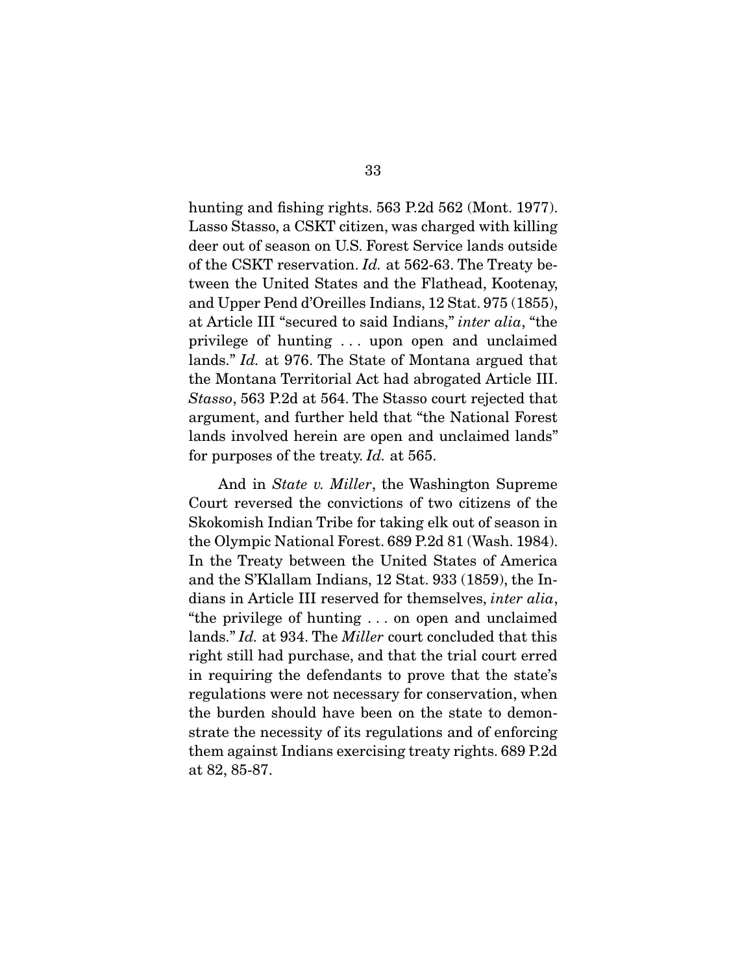hunting and fishing rights. 563 P.2d 562 (Mont. 1977). Lasso Stasso, a CSKT citizen, was charged with killing deer out of season on U.S. Forest Service lands outside of the CSKT reservation. *Id.* at 562-63. The Treaty between the United States and the Flathead, Kootenay, and Upper Pend d'Oreilles Indians, 12 Stat. 975 (1855), at Article III "secured to said Indians," *inter alia*, "the privilege of hunting . . . upon open and unclaimed lands." *Id.* at 976. The State of Montana argued that the Montana Territorial Act had abrogated Article III. *Stasso*, 563 P.2d at 564. The Stasso court rejected that argument, and further held that "the National Forest lands involved herein are open and unclaimed lands" for purposes of the treaty. *Id.* at 565.

 And in *State v. Miller*, the Washington Supreme Court reversed the convictions of two citizens of the Skokomish Indian Tribe for taking elk out of season in the Olympic National Forest. 689 P.2d 81 (Wash. 1984). In the Treaty between the United States of America and the S'Klallam Indians, 12 Stat. 933 (1859), the Indians in Article III reserved for themselves, *inter alia*, "the privilege of hunting . . . on open and unclaimed lands." *Id.* at 934. The *Miller* court concluded that this right still had purchase, and that the trial court erred in requiring the defendants to prove that the state's regulations were not necessary for conservation, when the burden should have been on the state to demonstrate the necessity of its regulations and of enforcing them against Indians exercising treaty rights. 689 P.2d at 82, 85-87.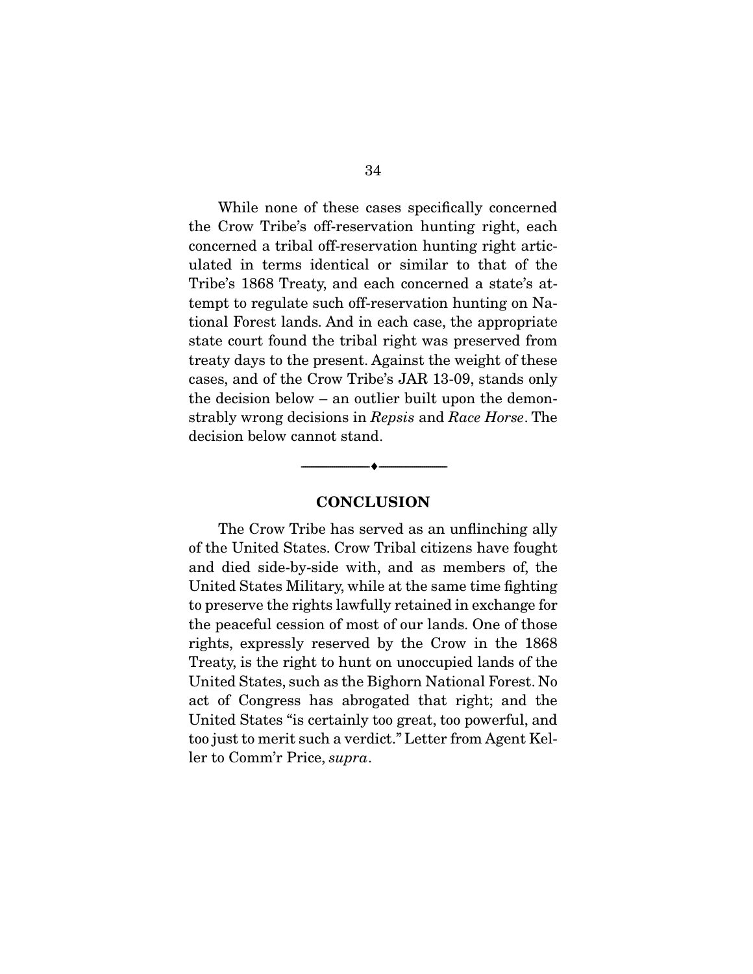While none of these cases specifically concerned the Crow Tribe's off-reservation hunting right, each concerned a tribal off-reservation hunting right articulated in terms identical or similar to that of the Tribe's 1868 Treaty, and each concerned a state's attempt to regulate such off-reservation hunting on National Forest lands. And in each case, the appropriate state court found the tribal right was preserved from treaty days to the present. Against the weight of these cases, and of the Crow Tribe's JAR 13-09, stands only the decision below – an outlier built upon the demonstrably wrong decisions in *Repsis* and *Race Horse*. The decision below cannot stand.

#### **CONCLUSION**

--------------------------------- ---------------------------------

 The Crow Tribe has served as an unflinching ally of the United States. Crow Tribal citizens have fought and died side-by-side with, and as members of, the United States Military, while at the same time fighting to preserve the rights lawfully retained in exchange for the peaceful cession of most of our lands. One of those rights, expressly reserved by the Crow in the 1868 Treaty, is the right to hunt on unoccupied lands of the United States, such as the Bighorn National Forest. No act of Congress has abrogated that right; and the United States "is certainly too great, too powerful, and too just to merit such a verdict." Letter from Agent Keller to Comm'r Price, *supra*.